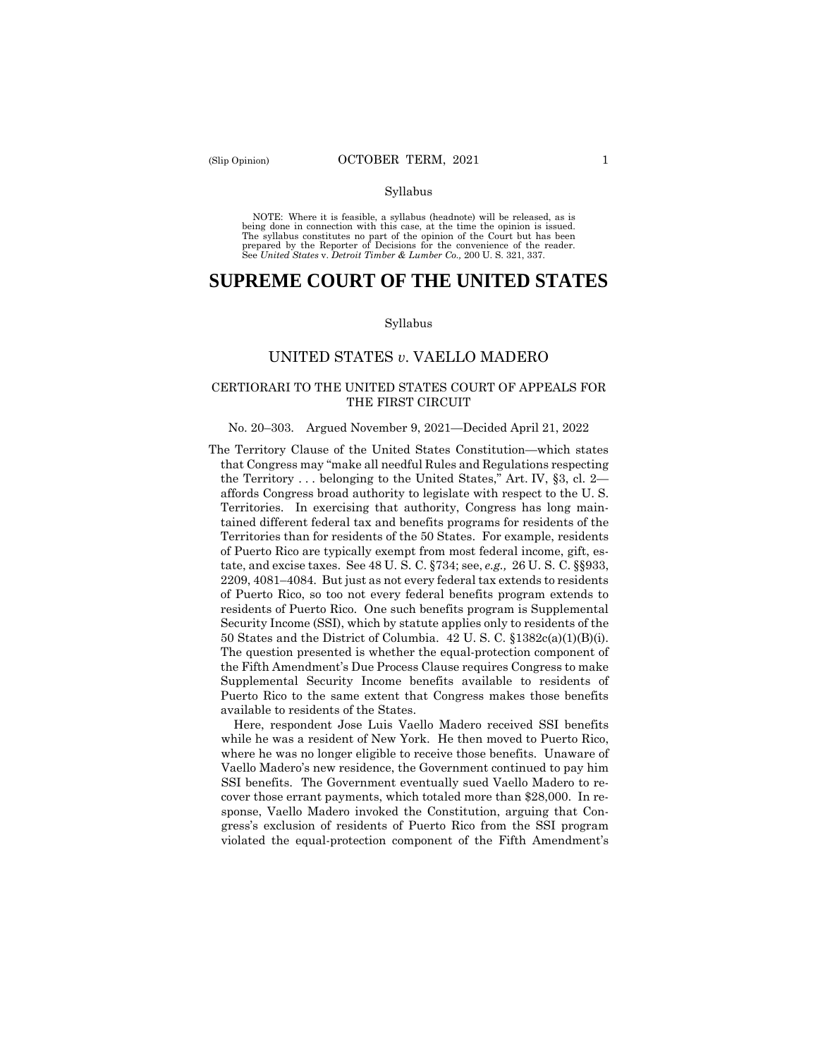#### Syllabus

 NOTE: Where it is feasible, a syllabus (headnote) will be released, as is being done in connection with this case, at the time the opinion is issued. The syllabus constitutes no part of the opinion of the Court but has been<br>prepared by the Reporter of Decisions for the convenience of the reader.<br>See United States v. Detroit Timber & Lumber Co., 200 U.S. 321, 337.

# **SUPREME COURT OF THE UNITED STATES**

#### Syllabus

# UNITED STATES *v*. VAELLO MADERO

# CERTIORARI TO THE UNITED STATES COURT OF APPEALS FOR THE FIRST CIRCUIT

#### No. 20–303. Argued November 9, 2021—Decided April 21, 2022

The Territory Clause of the United States Constitution—which states that Congress may "make all needful Rules and Regulations respecting the Territory . . . belonging to the United States," Art. IV, §3, cl. 2 affords Congress broad authority to legislate with respect to the U. S. Territories. In exercising that authority, Congress has long maintained different federal tax and benefits programs for residents of the Territories than for residents of the 50 States. For example, residents of Puerto Rico are typically exempt from most federal income, gift, estate, and excise taxes. See 48 U. S. C. §734; see, *e.g.,* 26 U. S. C. §§933, 2209, 4081–4084. But just as not every federal tax extends to residents of Puerto Rico, so too not every federal benefits program extends to residents of Puerto Rico. One such benefits program is Supplemental Security Income (SSI), which by statute applies only to residents of the 50 States and the District of Columbia. 42 U. S. C. §1382c(a)(1)(B)(i). The question presented is whether the equal-protection component of the Fifth Amendment's Due Process Clause requires Congress to make Supplemental Security Income benefits available to residents of Puerto Rico to the same extent that Congress makes those benefits available to residents of the States.

Here, respondent Jose Luis Vaello Madero received SSI benefits while he was a resident of New York. He then moved to Puerto Rico, where he was no longer eligible to receive those benefits. Unaware of Vaello Madero's new residence, the Government continued to pay him SSI benefits. The Government eventually sued Vaello Madero to recover those errant payments, which totaled more than \$28,000. In response, Vaello Madero invoked the Constitution, arguing that Congress's exclusion of residents of Puerto Rico from the SSI program violated the equal-protection component of the Fifth Amendment's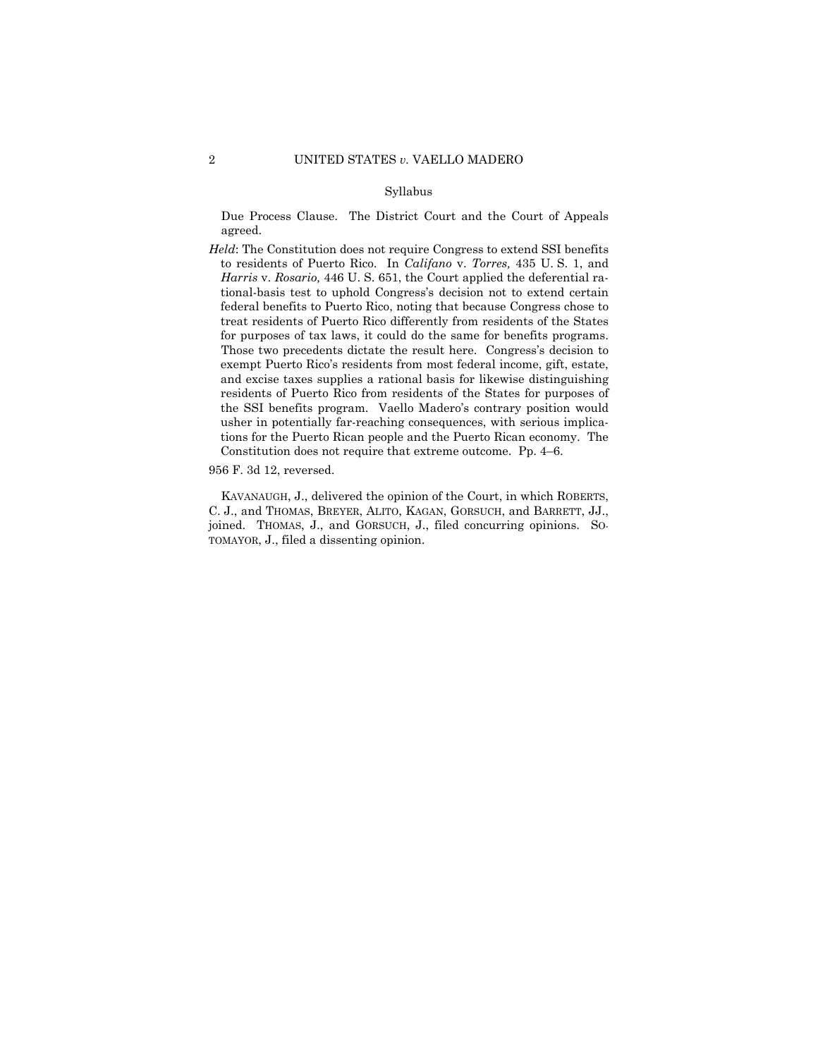# Syllabus

Due Process Clause. The District Court and the Court of Appeals agreed.

for purposes of tax laws, it could do the same for benefits programs. the SSI benefits program. Vaello Madero's contrary position would *Held*: The Constitution does not require Congress to extend SSI benefits to residents of Puerto Rico. In *Califano* v. *Torres,* 435 U. S. 1, and *Harris* v. *Rosario,* 446 U. S. 651, the Court applied the deferential rational-basis test to uphold Congress's decision not to extend certain federal benefits to Puerto Rico, noting that because Congress chose to treat residents of Puerto Rico differently from residents of the States Those two precedents dictate the result here. Congress's decision to exempt Puerto Rico's residents from most federal income, gift, estate, and excise taxes supplies a rational basis for likewise distinguishing residents of Puerto Rico from residents of the States for purposes of usher in potentially far-reaching consequences, with serious implications for the Puerto Rican people and the Puerto Rican economy. The Constitution does not require that extreme outcome. Pp. 4–6.

956 F. 3d 12, reversed.

KAVANAUGH, J., delivered the opinion of the Court, in which ROBERTS, C. J., and THOMAS, BREYER, ALITO, KAGAN, GORSUCH, and BARRETT, JJ., joined. THOMAS, J., and GORSUCH, J., filed concurring opinions. SO-TOMAYOR, J., filed a dissenting opinion.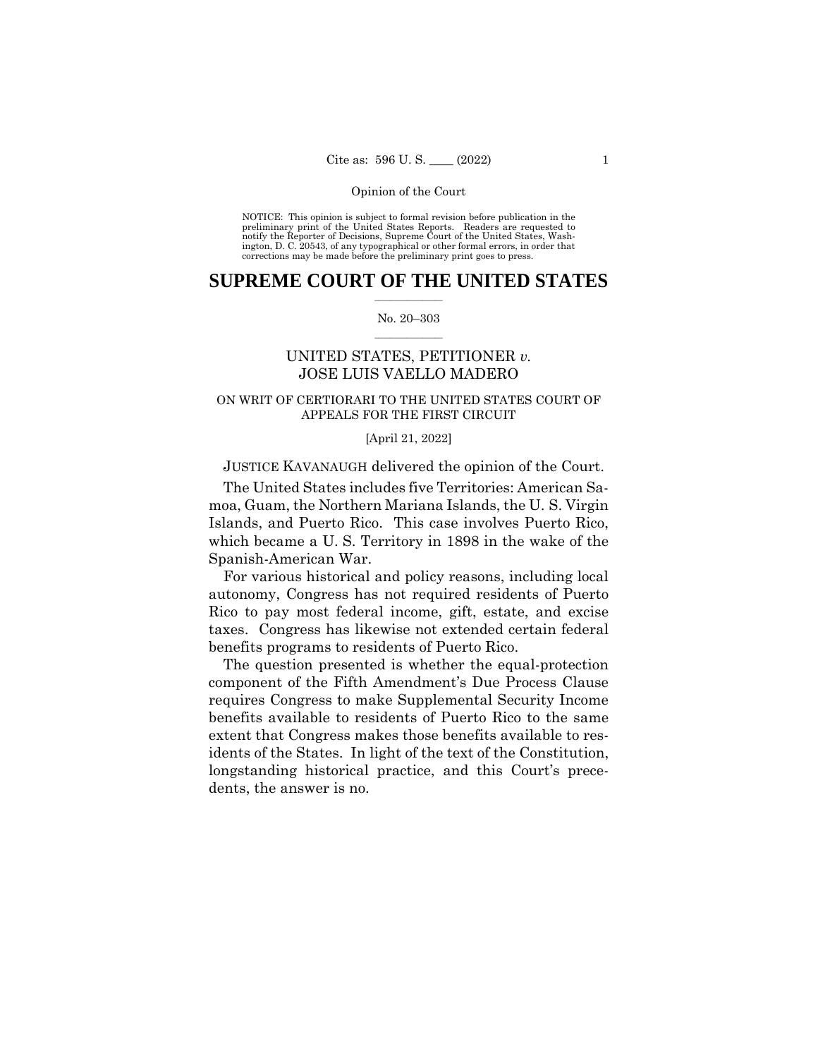NOTICE: This opinion is subject to formal revision before publication in the preliminary print of the United States Reports. Readers are requested to notify the Reporter of Decisions, Supreme Court of the United States, Wash-ington, D. C. 20543, of any typographical or other formal errors, in order that corrections may be made before the preliminary print goes to press.

# $\frac{1}{2}$  ,  $\frac{1}{2}$  ,  $\frac{1}{2}$  ,  $\frac{1}{2}$  ,  $\frac{1}{2}$  ,  $\frac{1}{2}$  ,  $\frac{1}{2}$ **SUPREME COURT OF THE UNITED STATES**

# $\frac{1}{2}$  ,  $\frac{1}{2}$  ,  $\frac{1}{2}$  ,  $\frac{1}{2}$  ,  $\frac{1}{2}$  ,  $\frac{1}{2}$ No. 20–303

# UNITED STATES, PETITIONER *v.*  JOSE LUIS VAELLO MADERO

# ON WRIT OF CERTIORARI TO THE UNITED STATES COURT OF APPEALS FOR THE FIRST CIRCUIT

# [April 21, 2022]

# JUSTICE KAVANAUGH delivered the opinion of the Court.

The United States includes five Territories: American Samoa, Guam, the Northern Mariana Islands, the U. S. Virgin Islands, and Puerto Rico. This case involves Puerto Rico, which became a U. S. Territory in 1898 in the wake of the Spanish-American War.

For various historical and policy reasons, including local autonomy, Congress has not required residents of Puerto Rico to pay most federal income, gift, estate, and excise taxes. Congress has likewise not extended certain federal benefits programs to residents of Puerto Rico.

The question presented is whether the equal-protection component of the Fifth Amendment's Due Process Clause requires Congress to make Supplemental Security Income benefits available to residents of Puerto Rico to the same extent that Congress makes those benefits available to residents of the States. In light of the text of the Constitution, longstanding historical practice, and this Court's precedents, the answer is no.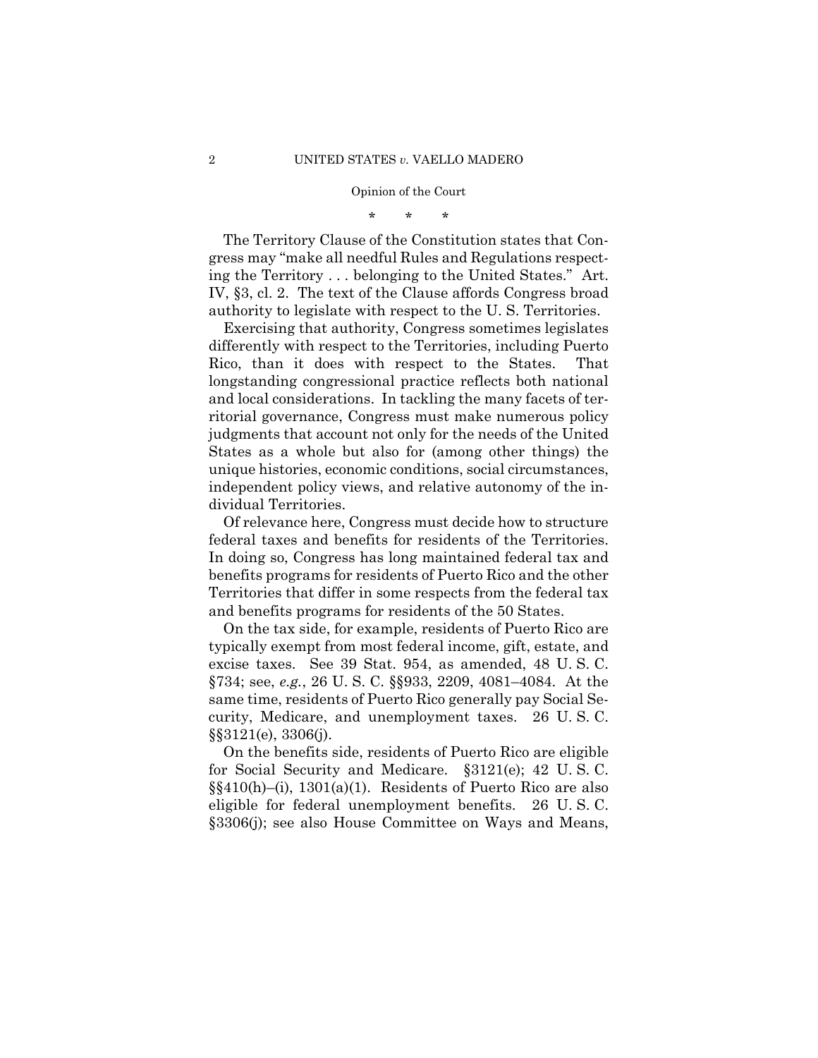\* \* \*

The Territory Clause of the Constitution states that Congress may "make all needful Rules and Regulations respecting the Territory . . . belonging to the United States." Art. IV, §3, cl. 2. The text of the Clause affords Congress broad authority to legislate with respect to the U. S. Territories.

 Exercising that authority, Congress sometimes legislates differently with respect to the Territories, including Puerto Rico, than it does with respect to the States. That longstanding congressional practice reflects both national and local considerations. In tackling the many facets of territorial governance, Congress must make numerous policy judgments that account not only for the needs of the United States as a whole but also for (among other things) the unique histories, economic conditions, social circumstances, independent policy views, and relative autonomy of the individual Territories.

federal taxes and benefits for residents of the Territories. Of relevance here, Congress must decide how to structure In doing so, Congress has long maintained federal tax and benefits programs for residents of Puerto Rico and the other Territories that differ in some respects from the federal tax and benefits programs for residents of the 50 States.

On the tax side, for example, residents of Puerto Rico are typically exempt from most federal income, gift, estate, and excise taxes. See 39 Stat. 954, as amended, 48 U. S. C. §734; see, *e.g.*, 26 U. S. C. §§933, 2209, 4081–4084. At the same time, residents of Puerto Rico generally pay Social Security, Medicare, and unemployment taxes. 26 U. S. C. §§3121(e), 3306(j).

On the benefits side, residents of Puerto Rico are eligible for Social Security and Medicare. §3121(e); 42 U. S. C. §§410(h)–(i), 1301(a)(1). Residents of Puerto Rico are also eligible for federal unemployment benefits. 26 U. S. C. §3306(j); see also House Committee on Ways and Means,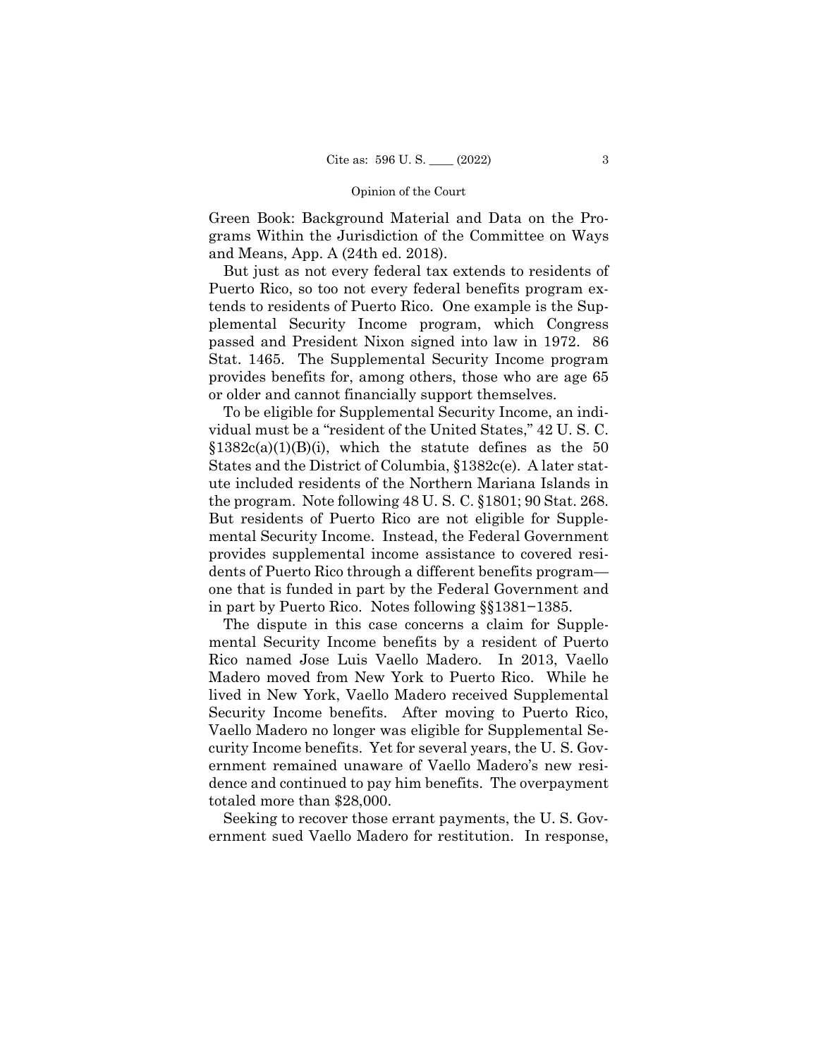Green Book: Background Material and Data on the Programs Within the Jurisdiction of the Committee on Ways and Means, App. A (24th ed. 2018).

But just as not every federal tax extends to residents of Puerto Rico, so too not every federal benefits program extends to residents of Puerto Rico. One example is the Supplemental Security Income program, which Congress passed and President Nixon signed into law in 1972. 86 Stat. 1465. The Supplemental Security Income program provides benefits for, among others, those who are age 65 or older and cannot financially support themselves.

To be eligible for Supplemental Security Income, an individual must be a "resident of the United States," 42 U. S. C.  $$1382c(a)(1)(B)(i)$ , which the statute defines as the 50 States and the District of Columbia, §1382c(e). A later statute included residents of the Northern Mariana Islands in the program. Note following 48 U. S. C. §1801; 90 Stat. 268. But residents of Puerto Rico are not eligible for Supplemental Security Income. Instead, the Federal Government provides supplemental income assistance to covered residents of Puerto Rico through a different benefits program one that is funded in part by the Federal Government and in part by Puerto Rico. Notes following §§1381−1385.

The dispute in this case concerns a claim for Supplemental Security Income benefits by a resident of Puerto Rico named Jose Luis Vaello Madero. In 2013, Vaello Madero moved from New York to Puerto Rico. While he lived in New York, Vaello Madero received Supplemental Security Income benefits. After moving to Puerto Rico, Vaello Madero no longer was eligible for Supplemental Security Income benefits. Yet for several years, the U. S. Government remained unaware of Vaello Madero's new residence and continued to pay him benefits. The overpayment totaled more than \$28,000.

Seeking to recover those errant payments, the U. S. Government sued Vaello Madero for restitution. In response,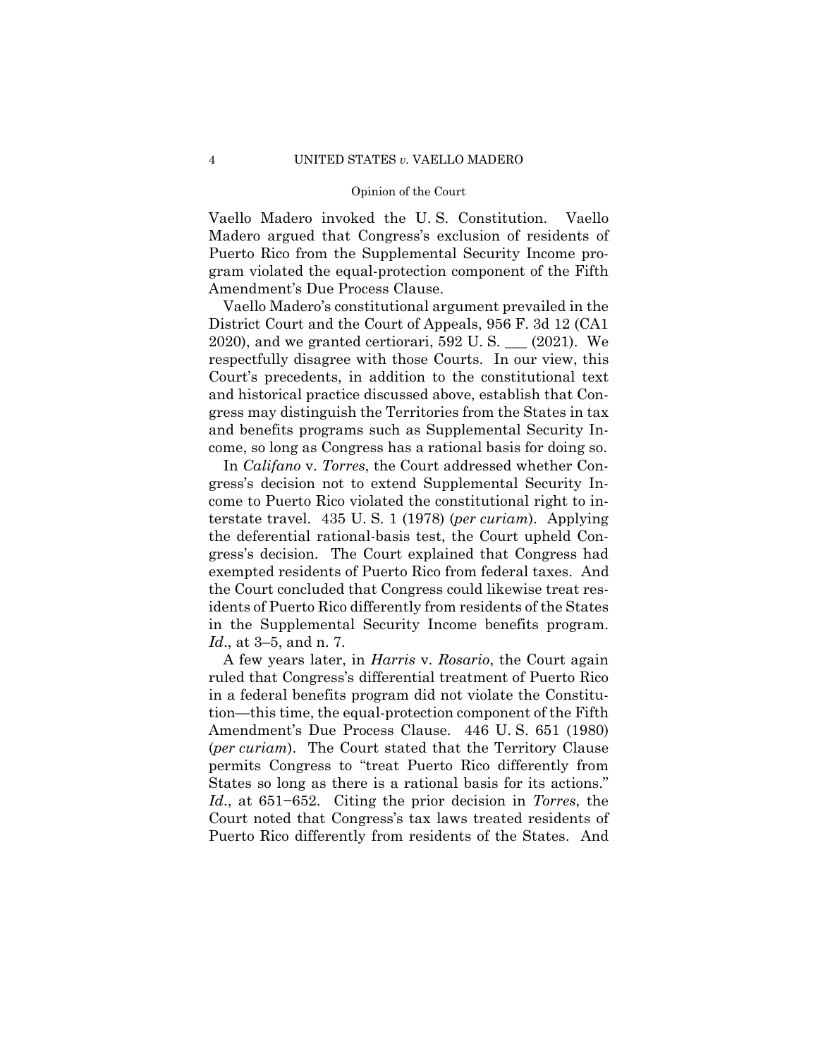Vaello Madero invoked the U. S. Constitution. Vaello Madero argued that Congress's exclusion of residents of Puerto Rico from the Supplemental Security Income program violated the equal-protection component of the Fifth Amendment's Due Process Clause.

Vaello Madero's constitutional argument prevailed in the District Court and the Court of Appeals, 956 F. 3d 12 (CA1 2020), and we granted certiorari, 592 U. S. \_\_\_ (2021). We respectfully disagree with those Courts. In our view, this Court's precedents, in addition to the constitutional text and historical practice discussed above, establish that Congress may distinguish the Territories from the States in tax and benefits programs such as Supplemental Security Income, so long as Congress has a rational basis for doing so.

In *Califano* v. *Torres*, the Court addressed whether Congress's decision not to extend Supplemental Security Income to Puerto Rico violated the constitutional right to interstate travel. 435 U. S. 1 (1978) (*per curiam*). Applying the deferential rational-basis test, the Court upheld Congress's decision. The Court explained that Congress had exempted residents of Puerto Rico from federal taxes. And the Court concluded that Congress could likewise treat residents of Puerto Rico differently from residents of the States in the Supplemental Security Income benefits program. *Id*., at 3–5, and n. 7.

A few years later, in *Harris* v. *Rosario*, the Court again ruled that Congress's differential treatment of Puerto Rico in a federal benefits program did not violate the Constitution—this time, the equal-protection component of the Fifth Amendment's Due Process Clause. 446 U. S. 651 (1980) (*per curiam*). The Court stated that the Territory Clause permits Congress to "treat Puerto Rico differently from States so long as there is a rational basis for its actions." *Id*., at 651−652. Citing the prior decision in *Torres*, the Court noted that Congress's tax laws treated residents of Puerto Rico differently from residents of the States. And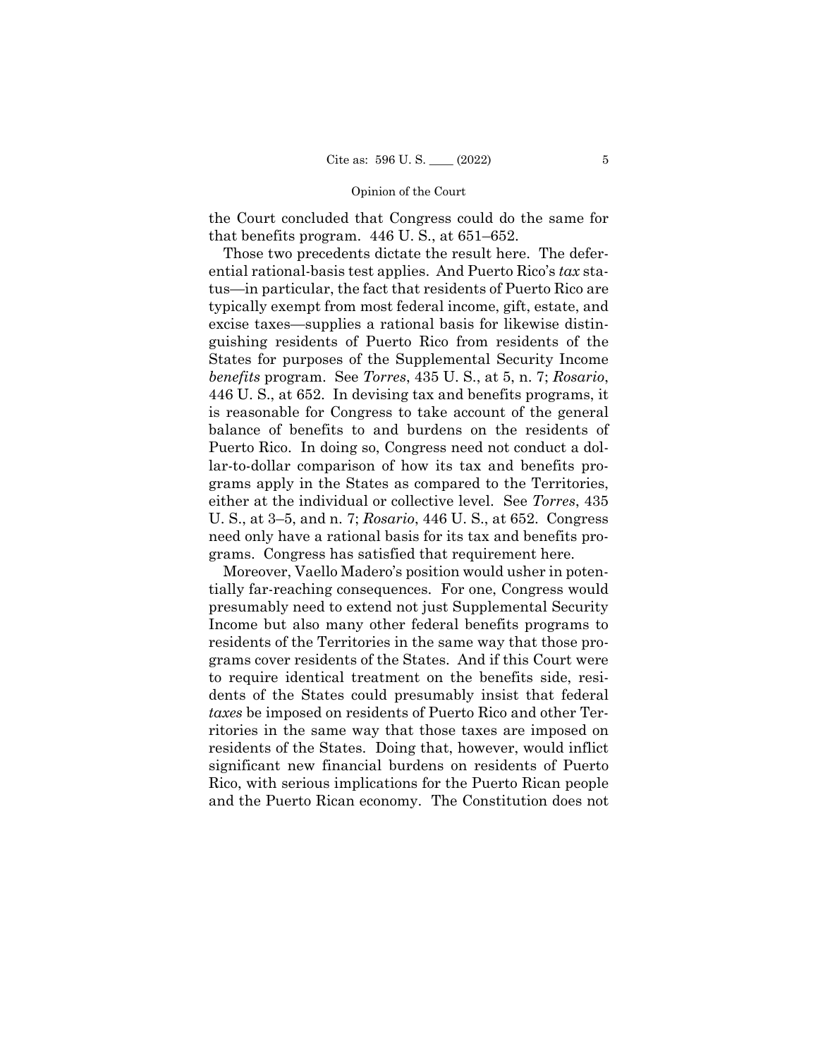the Court concluded that Congress could do the same for that benefits program. 446 U. S., at 651–652.

Those two precedents dictate the result here. The deferential rational-basis test applies. And Puerto Rico's *tax* status—in particular, the fact that residents of Puerto Rico are typically exempt from most federal income, gift, estate, and excise taxes—supplies a rational basis for likewise distinguishing residents of Puerto Rico from residents of the States for purposes of the Supplemental Security Income *benefits* program. See *Torres*, 435 U. S., at 5, n. 7; *Rosario*, 446 U. S., at 652. In devising tax and benefits programs, it is reasonable for Congress to take account of the general balance of benefits to and burdens on the residents of Puerto Rico. In doing so, Congress need not conduct a dollar-to-dollar comparison of how its tax and benefits programs apply in the States as compared to the Territories, either at the individual or collective level. See *Torres*, 435 U. S., at 3–5, and n. 7; *Rosario*, 446 U. S., at 652. Congress need only have a rational basis for its tax and benefits programs. Congress has satisfied that requirement here.

Moreover, Vaello Madero's position would usher in potentially far-reaching consequences. For one, Congress would presumably need to extend not just Supplemental Security Income but also many other federal benefits programs to residents of the Territories in the same way that those programs cover residents of the States. And if this Court were to require identical treatment on the benefits side, residents of the States could presumably insist that federal *taxes* be imposed on residents of Puerto Rico and other Territories in the same way that those taxes are imposed on residents of the States. Doing that, however, would inflict significant new financial burdens on residents of Puerto Rico, with serious implications for the Puerto Rican people and the Puerto Rican economy. The Constitution does not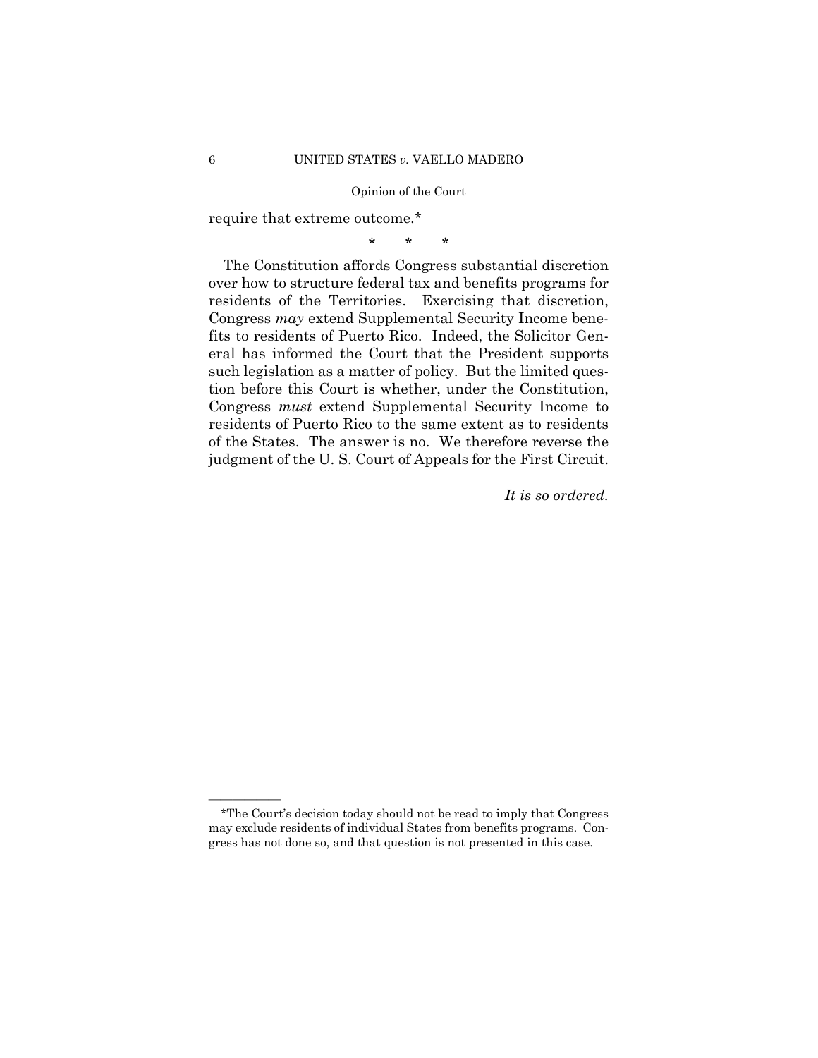require that extreme outcome.\*

\* \* \*

The Constitution affords Congress substantial discretion over how to structure federal tax and benefits programs for residents of the Territories. Exercising that discretion, Congress *may* extend Supplemental Security Income benefits to residents of Puerto Rico. Indeed, the Solicitor General has informed the Court that the President supports such legislation as a matter of policy. But the limited question before this Court is whether, under the Constitution, Congress *must* extend Supplemental Security Income to residents of Puerto Rico to the same extent as to residents of the States. The answer is no. We therefore reverse the judgment of the U. S. Court of Appeals for the First Circuit.

*It is so ordered.* 

——————

<sup>\*</sup>The Court's decision today should not be read to imply that Congress may exclude residents of individual States from benefits programs. Congress has not done so, and that question is not presented in this case.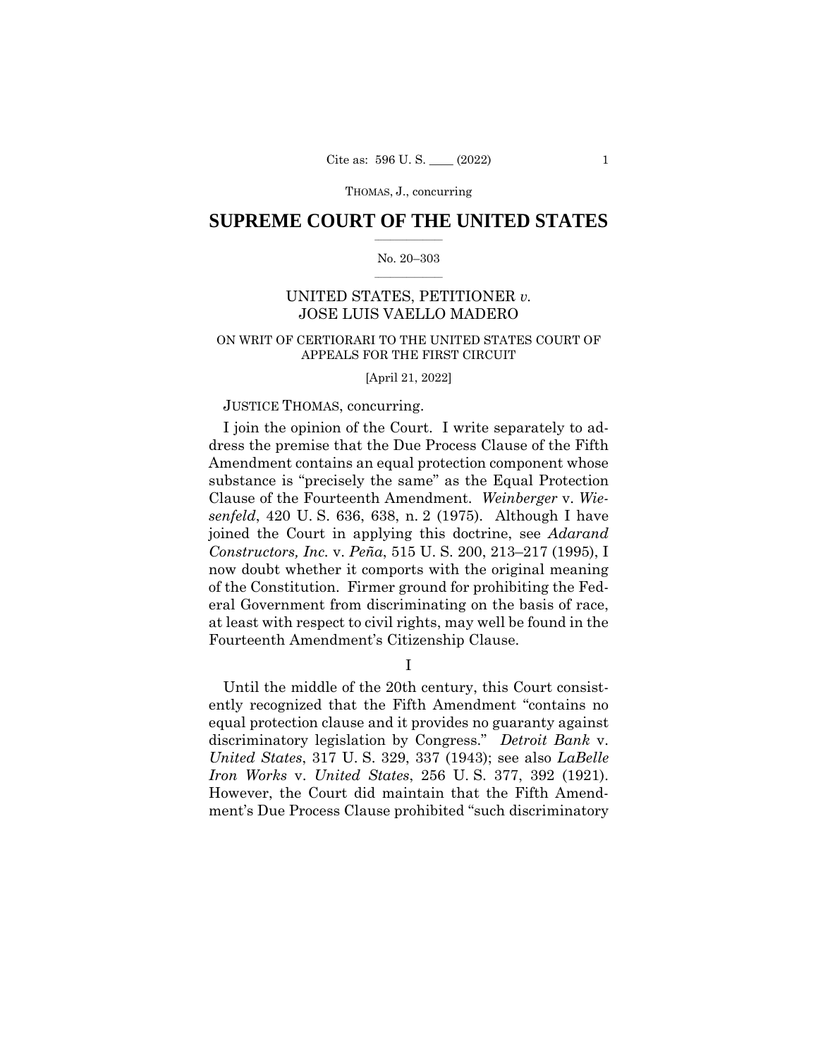# $\frac{1}{2}$  ,  $\frac{1}{2}$  ,  $\frac{1}{2}$  ,  $\frac{1}{2}$  ,  $\frac{1}{2}$  ,  $\frac{1}{2}$  ,  $\frac{1}{2}$ **SUPREME COURT OF THE UNITED STATES**

# $\frac{1}{2}$  ,  $\frac{1}{2}$  ,  $\frac{1}{2}$  ,  $\frac{1}{2}$  ,  $\frac{1}{2}$  ,  $\frac{1}{2}$ No. 20–303

# UNITED STATES, PETITIONER *v.*  JOSE LUIS VAELLO MADERO

# ON WRIT OF CERTIORARI TO THE UNITED STATES COURT OF APPEALS FOR THE FIRST CIRCUIT

# [April 21, 2022]

# JUSTICE THOMAS, concurring.

I join the opinion of the Court. I write separately to address the premise that the Due Process Clause of the Fifth Amendment contains an equal protection component whose substance is "precisely the same" as the Equal Protection Clause of the Fourteenth Amendment. *Weinberger* v. *Wiesenfeld*, 420 U. S. 636, 638, n. 2 (1975). Although I have joined the Court in applying this doctrine, see *Adarand Constructors, Inc.* v. *Peña*, 515 U. S. 200, 213–217 (1995), I now doubt whether it comports with the original meaning of the Constitution. Firmer ground for prohibiting the Federal Government from discriminating on the basis of race, at least with respect to civil rights, may well be found in the Fourteenth Amendment's Citizenship Clause.

I

Iron Works v. United States, 256 U.S. 377, 392 (1921). Until the middle of the 20th century, this Court consistently recognized that the Fifth Amendment "contains no equal protection clause and it provides no guaranty against discriminatory legislation by Congress." *Detroit Bank* v. *United States*, 317 U. S. 329, 337 (1943); see also *LaBelle However*, the Court did maintain that the Fifth Amendment's Due Process Clause prohibited "such discriminatory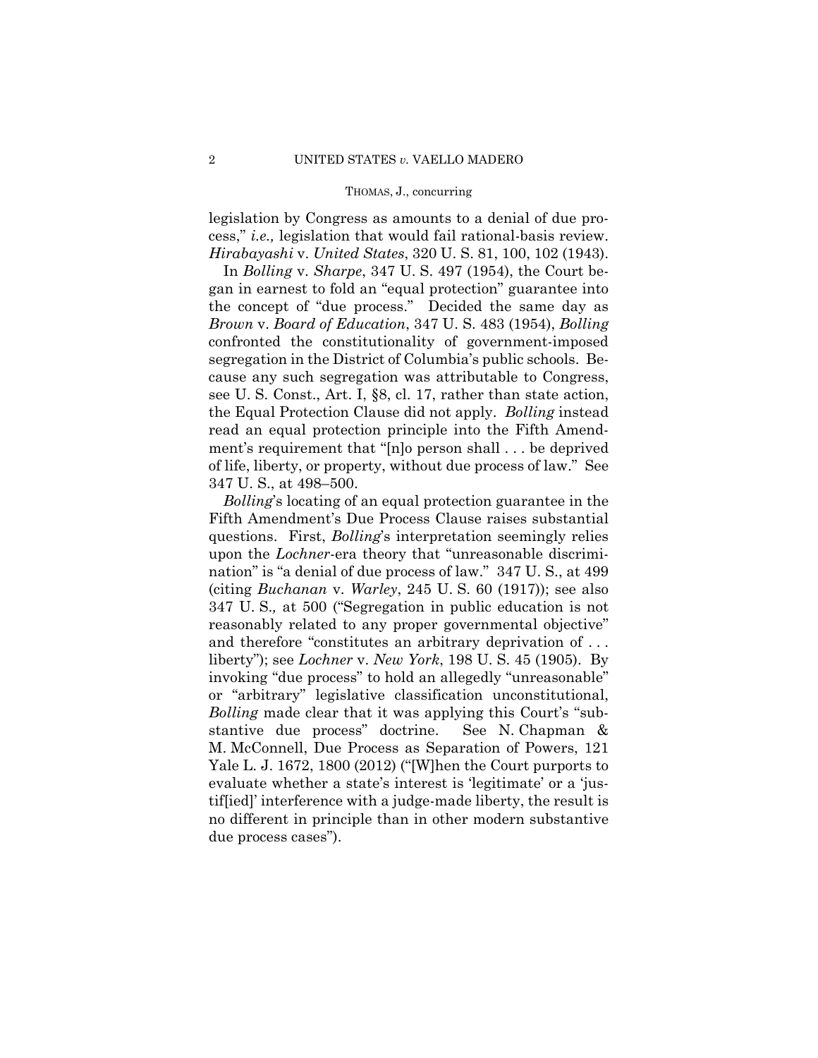legislation by Congress as amounts to a denial of due process," *i.e.,* legislation that would fail rational-basis review. *Hirabayashi* v. *United States*, 320 U. S. 81, 100, 102 (1943).

In *Bolling* v. *Sharpe*, 347 U. S. 497 (1954), the Court began in earnest to fold an "equal protection" guarantee into the concept of "due process." Decided the same day as *Brown* v. *Board of Education*, 347 U. S. 483 (1954), *Bolling* confronted the constitutionality of government-imposed segregation in the District of Columbia's public schools. Because any such segregation was attributable to Congress, see U. S. Const., Art. I, §8, cl. 17, rather than state action, the Equal Protection Clause did not apply. *Bolling* instead read an equal protection principle into the Fifth Amendment's requirement that "[n]o person shall . . . be deprived of life, liberty, or property, without due process of law." See 347 U. S., at 498–500.

 questions. First, *Bolling*'s interpretation seemingly relies and therefore "constitutes an arbitrary deprivation of . . . *Bolling*'s locating of an equal protection guarantee in the Fifth Amendment's Due Process Clause raises substantial upon the *Lochner*-era theory that "unreasonable discrimination" is "a denial of due process of law." 347 U. S., at 499 (citing *Buchanan* v. *Warley*, 245 U. S. 60 (1917)); see also 347 U. S.*,* at 500 ("Segregation in public education is not reasonably related to any proper governmental objective" liberty"); see *Lochner* v. *New York*, 198 U. S. 45 (1905). By invoking "due process" to hold an allegedly "unreasonable" or "arbitrary" legislative classification unconstitutional, *Bolling* made clear that it was applying this Court's "substantive due process" doctrine. See N. Chapman & M. McConnell, Due Process as Separation of Powers, 121 Yale L. J. 1672, 1800 (2012) ("[W]hen the Court purports to evaluate whether a state's interest is 'legitimate' or a 'justif[ied]' interference with a judge-made liberty, the result is no different in principle than in other modern substantive due process cases").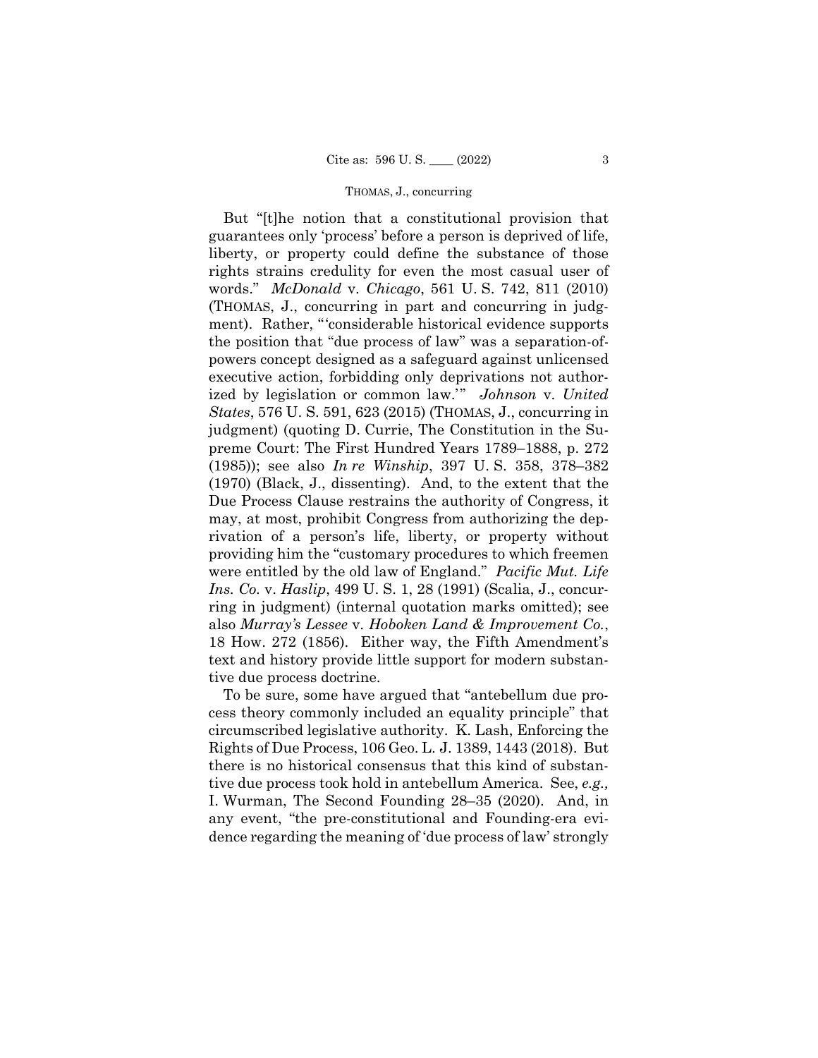But "[t]he notion that a constitutional provision that guarantees only 'process' before a person is deprived of life, liberty, or property could define the substance of those rights strains credulity for even the most casual user of words." *McDonald* v. *Chicago*, 561 U. S. 742, 811 (2010) (THOMAS, J., concurring in part and concurring in judgment). Rather, "'considerable historical evidence supports the position that "due process of law" was a separation-ofpowers concept designed as a safeguard against unlicensed executive action, forbidding only deprivations not authorized by legislation or common law.'" *Johnson* v. *United States*, 576 U. S. 591, 623 (2015) (THOMAS, J., concurring in judgment) (quoting D. Currie, The Constitution in the Supreme Court: The First Hundred Years 1789–1888, p. 272 (1985)); see also *In re Winship*, 397 U. S. 358, 378–382 (1970) (Black, J., dissenting). And, to the extent that the Due Process Clause restrains the authority of Congress, it may, at most, prohibit Congress from authorizing the deprivation of a person's life, liberty, or property without providing him the "customary procedures to which freemen were entitled by the old law of England." *Pacific Mut. Life Ins. Co.* v. *Haslip*, 499 U. S. 1, 28 (1991) (Scalia, J., concurring in judgment) (internal quotation marks omitted); see also *Murray's Lessee* v. *Hoboken Land & Improvement Co.*, 18 How. 272 (1856). Either way, the Fifth Amendment's text and history provide little support for modern substantive due process doctrine.

To be sure, some have argued that "antebellum due process theory commonly included an equality principle" that circumscribed legislative authority. K. Lash, Enforcing the Rights of Due Process, 106 Geo. L. J. 1389, 1443 (2018). But there is no historical consensus that this kind of substantive due process took hold in antebellum America. See, *e.g.,* I. Wurman, The Second Founding 28–35 (2020). And, in any event, "the pre-constitutional and Founding-era evidence regarding the meaning of 'due process of law' strongly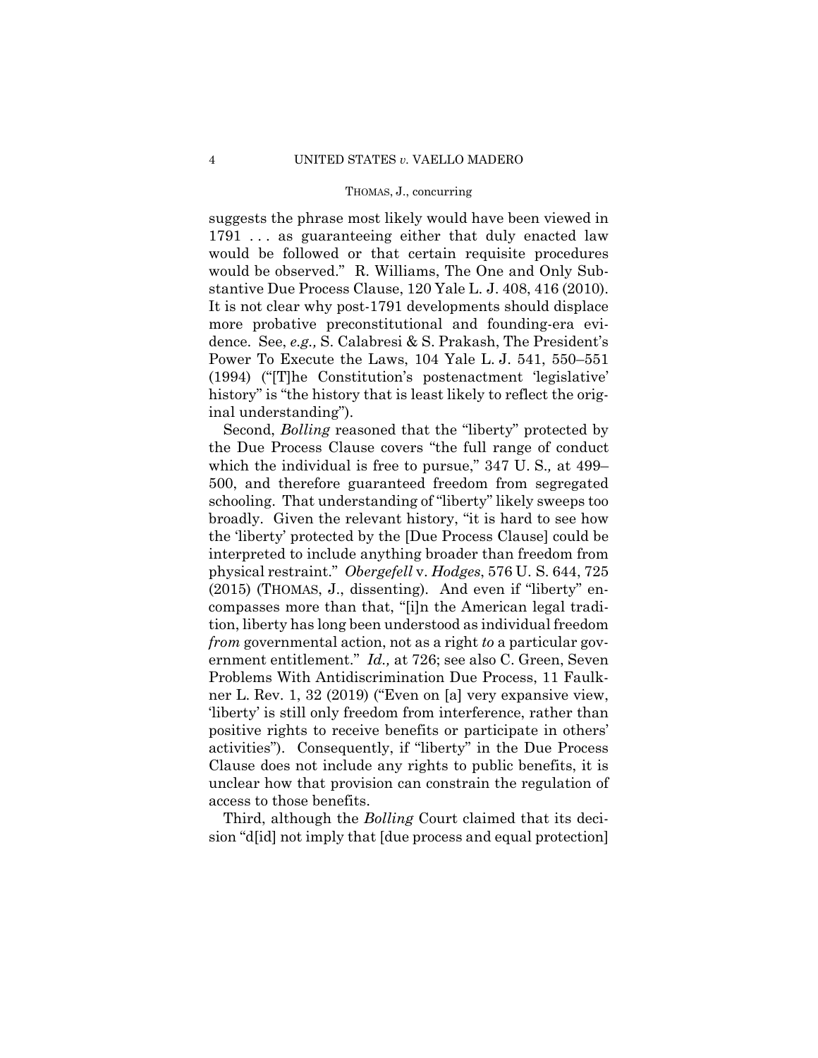suggests the phrase most likely would have been viewed in 1791 . . . as guaranteeing either that duly enacted law would be followed or that certain requisite procedures would be observed." R. Williams, The One and Only Substantive Due Process Clause, 120 Yale L. J. 408, 416 (2010). It is not clear why post-1791 developments should displace more probative preconstitutional and founding-era evidence. See, *e.g.,* S. Calabresi & S. Prakash, The President's Power To Execute the Laws, 104 Yale L. J. 541, 550–551 (1994) ("[T]he Constitution's postenactment 'legislative' history" is "the history that is least likely to reflect the original understanding").

Second, *Bolling* reasoned that the "liberty" protected by the Due Process Clause covers "the full range of conduct which the individual is free to pursue," 347 U. S.*,* at 499– 500, and therefore guaranteed freedom from segregated schooling. That understanding of "liberty" likely sweeps too broadly. Given the relevant history, "it is hard to see how the 'liberty' protected by the [Due Process Clause] could be interpreted to include anything broader than freedom from physical restraint." *Obergefell* v. *Hodges*, 576 U. S. 644, 725 (2015) (THOMAS, J., dissenting). And even if "liberty" encompasses more than that, "[i]n the American legal tradition, liberty has long been understood as individual freedom *from* governmental action, not as a right *to* a particular government entitlement." *Id.,* at 726; see also C. Green, Seven Problems With Antidiscrimination Due Process, 11 Faulkner L. Rev. 1, 32 (2019) ("Even on [a] very expansive view, 'liberty' is still only freedom from interference, rather than positive rights to receive benefits or participate in others' activities"). Consequently, if "liberty" in the Due Process Clause does not include any rights to public benefits, it is unclear how that provision can constrain the regulation of access to those benefits.

Third, although the *Bolling* Court claimed that its decision "d[id] not imply that [due process and equal protection]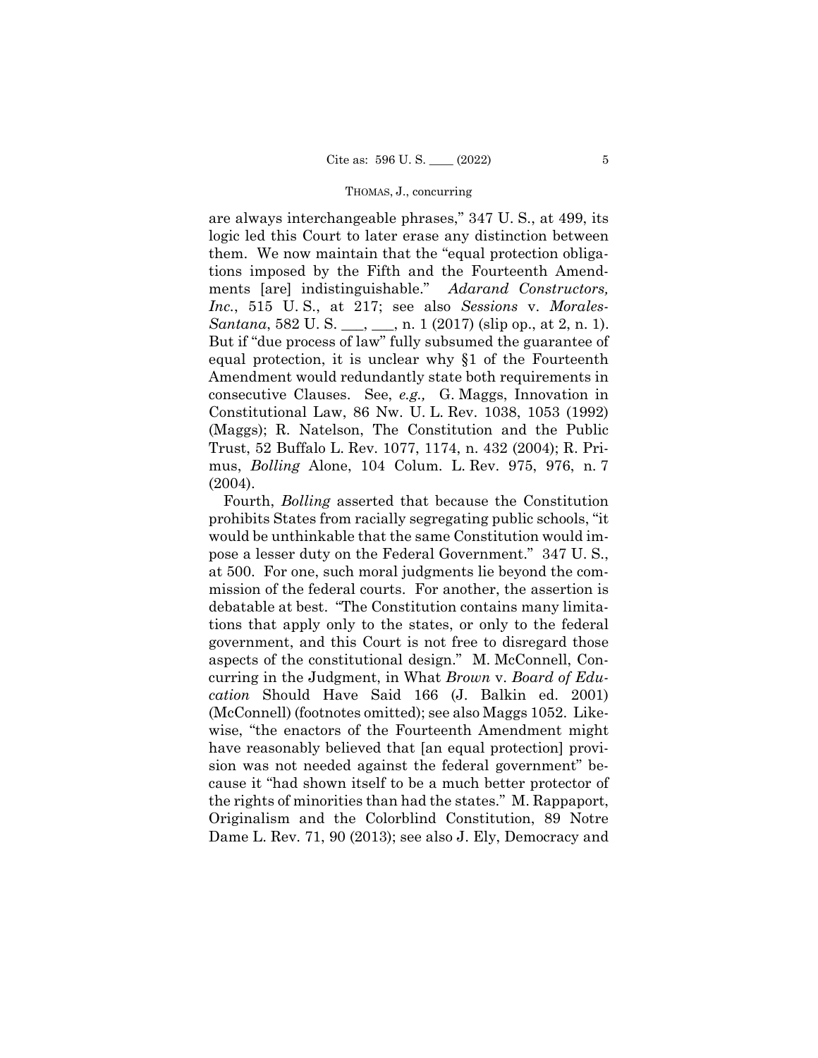consecutive Clauses. See, *e.g.,* G. Maggs, Innovation in mus, *Bolling* Alone, 104 Colum. L. Rev. 975, 976, n. 7 are always interchangeable phrases," 347 U. S., at 499, its logic led this Court to later erase any distinction between them. We now maintain that the "equal protection obligations imposed by the Fifth and the Fourteenth Amendments [are] indistinguishable." *Adarand Constructors, Inc.*, 515 U. S., at 217; see also *Sessions* v. *Morales-Santana*, 582 U. S. <sub>\_\_\_</sub>, \_\_\_, n. 1 (2017) (slip op., at 2, n. 1). But if "due process of law" fully subsumed the guarantee of equal protection, it is unclear why §1 of the Fourteenth Amendment would redundantly state both requirements in Constitutional Law, 86 Nw. U. L. Rev. 1038, 1053 (1992) (Maggs); R. Natelson, The Constitution and the Public Trust, 52 Buffalo L. Rev. 1077, 1174, n. 432 (2004); R. Pri-(2004).

Fourth, *Bolling* asserted that because the Constitution prohibits States from racially segregating public schools, "it would be unthinkable that the same Constitution would impose a lesser duty on the Federal Government." 347 U. S., at 500. For one, such moral judgments lie beyond the commission of the federal courts. For another, the assertion is debatable at best. "The Constitution contains many limitations that apply only to the states, or only to the federal government, and this Court is not free to disregard those aspects of the constitutional design." M. McConnell, Concurring in the Judgment, in What *Brown* v. *Board of Education* Should Have Said 166 (J. Balkin ed. 2001) (McConnell) (footnotes omitted); see also Maggs 1052. Likewise, "the enactors of the Fourteenth Amendment might have reasonably believed that [an equal protection] provision was not needed against the federal government" because it "had shown itself to be a much better protector of the rights of minorities than had the states." M. Rappaport, Originalism and the Colorblind Constitution, 89 Notre Dame L. Rev. 71, 90 (2013); see also J. Ely, Democracy and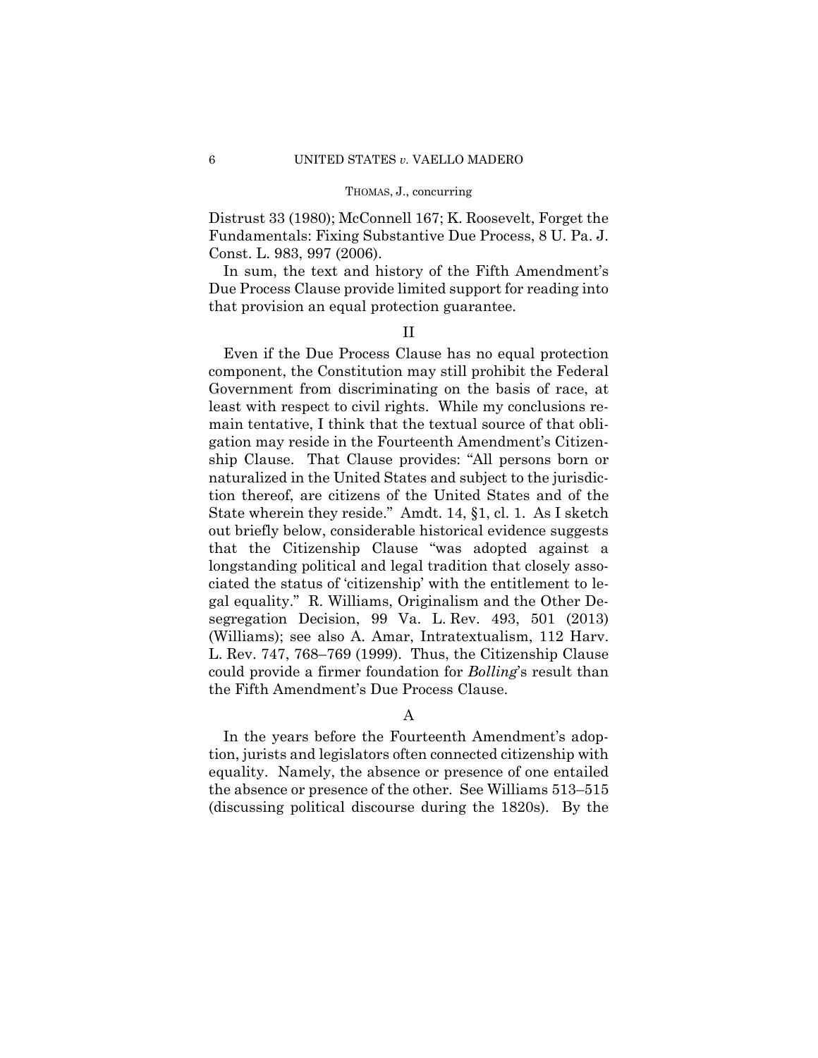Distrust 33 (1980); McConnell 167; K. Roosevelt, Forget the Fundamentals: Fixing Substantive Due Process, 8 U. Pa. J. Const. L. 983, 997 (2006).

In sum, the text and history of the Fifth Amendment's Due Process Clause provide limited support for reading into that provision an equal protection guarantee.

# II

Even if the Due Process Clause has no equal protection component, the Constitution may still prohibit the Federal Government from discriminating on the basis of race, at least with respect to civil rights. While my conclusions remain tentative, I think that the textual source of that obligation may reside in the Fourteenth Amendment's Citizenship Clause. That Clause provides: "All persons born or naturalized in the United States and subject to the jurisdiction thereof, are citizens of the United States and of the State wherein they reside." Amdt. 14, §1, cl. 1. As I sketch out briefly below, considerable historical evidence suggests that the Citizenship Clause "was adopted against a longstanding political and legal tradition that closely associated the status of 'citizenship' with the entitlement to legal equality." R. Williams, Originalism and the Other Desegregation Decision, 99 Va. L. Rev. 493, 501 (2013) (Williams); see also A. Amar, Intratextualism, 112 Harv. L. Rev. 747, 768–769 (1999). Thus, the Citizenship Clause could provide a firmer foundation for *Bolling*'s result than the Fifth Amendment's Due Process Clause.

# A

In the years before the Fourteenth Amendment's adoption, jurists and legislators often connected citizenship with equality. Namely, the absence or presence of one entailed the absence or presence of the other. See Williams 513–515 (discussing political discourse during the 1820s). By the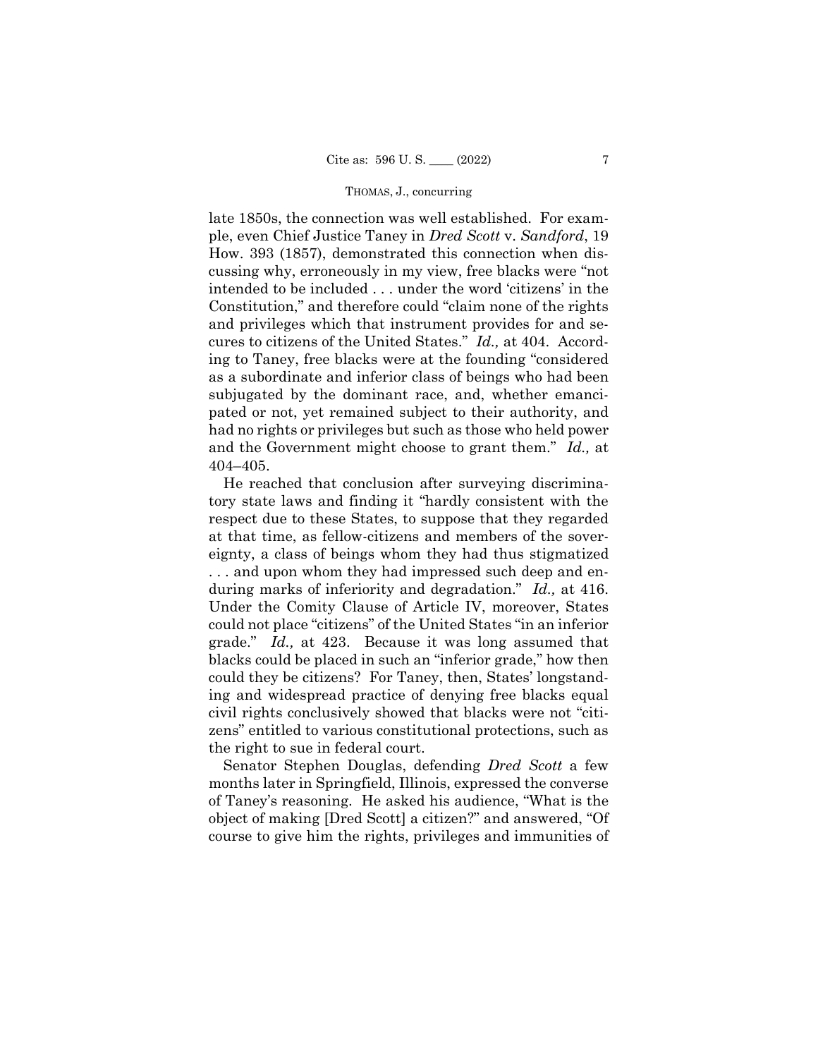late 1850s, the connection was well established. For example, even Chief Justice Taney in *Dred Scott* v. *Sandford*, 19 How. 393 (1857), demonstrated this connection when discussing why, erroneously in my view, free blacks were "not intended to be included . . . under the word 'citizens' in the Constitution," and therefore could "claim none of the rights and privileges which that instrument provides for and secures to citizens of the United States." *Id.,* at 404. According to Taney, free blacks were at the founding "considered as a subordinate and inferior class of beings who had been subjugated by the dominant race, and, whether emancipated or not, yet remained subject to their authority, and had no rights or privileges but such as those who held power and the Government might choose to grant them." *Id.,* at 404–405.

He reached that conclusion after surveying discriminatory state laws and finding it "hardly consistent with the respect due to these States, to suppose that they regarded at that time, as fellow-citizens and members of the sovereignty, a class of beings whom they had thus stigmatized . . . and upon whom they had impressed such deep and enduring marks of inferiority and degradation." *Id.,* at 416. Under the Comity Clause of Article IV, moreover, States could not place "citizens" of the United States "in an inferior grade." *Id.,* at 423. Because it was long assumed that blacks could be placed in such an "inferior grade," how then could they be citizens? For Taney, then, States' longstanding and widespread practice of denying free blacks equal civil rights conclusively showed that blacks were not "citizens" entitled to various constitutional protections, such as the right to sue in federal court.

Senator Stephen Douglas, defending *Dred Scott* a few months later in Springfield, Illinois, expressed the converse of Taney's reasoning. He asked his audience, "What is the object of making [Dred Scott] a citizen?" and answered, "Of course to give him the rights, privileges and immunities of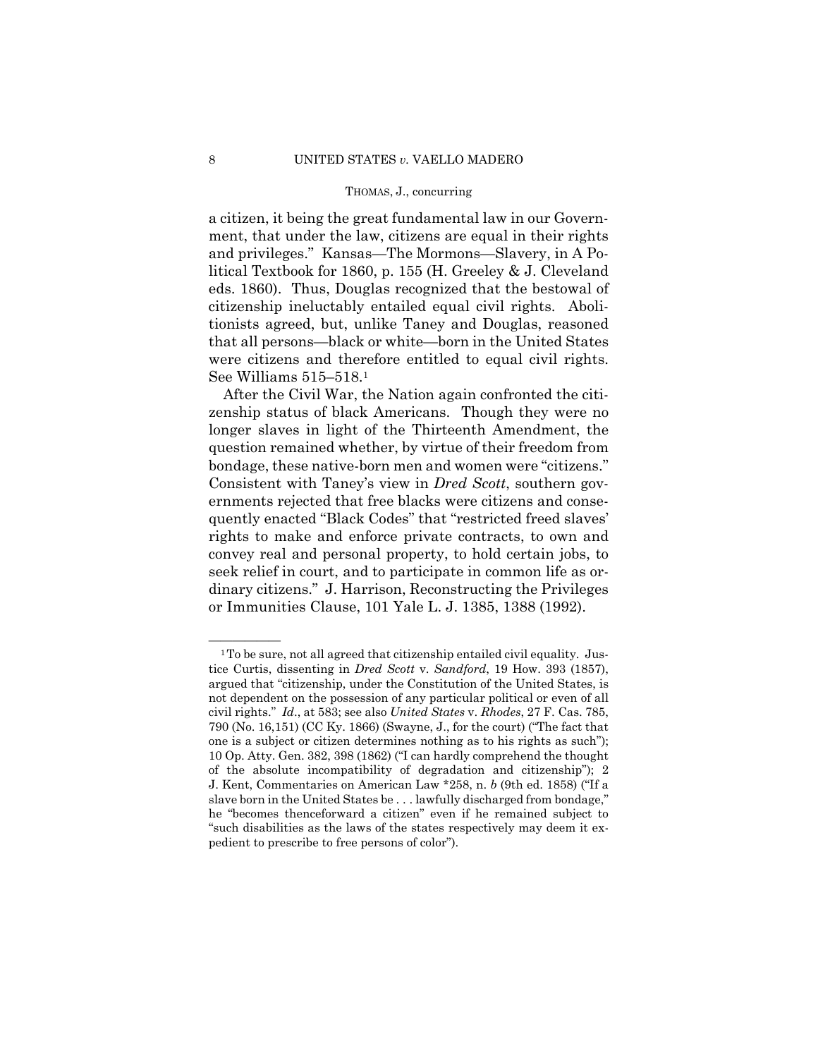a citizen, it being the great fundamental law in our Government, that under the law, citizens are equal in their rights and privileges." Kansas—The Mormons—Slavery, in A Political Textbook for 1860, p. 155 (H. Greeley & J. Cleveland eds. 1860). Thus, Douglas recognized that the bestowal of citizenship ineluctably entailed equal civil rights. Abolitionists agreed, but, unlike Taney and Douglas, reasoned that all persons—black or white—born in the United States were citizens and therefore entitled to equal civil rights. See Williams 515–518.1

After the Civil War, the Nation again confronted the citizenship status of black Americans. Though they were no longer slaves in light of the Thirteenth Amendment, the question remained whether, by virtue of their freedom from bondage, these native-born men and women were "citizens." Consistent with Taney's view in *Dred Scott*, southern governments rejected that free blacks were citizens and consequently enacted "Black Codes" that "restricted freed slaves' rights to make and enforce private contracts, to own and convey real and personal property, to hold certain jobs, to seek relief in court, and to participate in common life as ordinary citizens." J. Harrison, Reconstructing the Privileges or Immunities Clause, 101 Yale L. J. 1385, 1388 (1992).

 civil rights." *Id*., at 583; see also *United States* v. *Rhodes*, 27 F. Cas. 785, 10 Op. Atty. Gen. 382, 398 (1862) ("I can hardly comprehend the thought <sup>1</sup>To be sure, not all agreed that citizenship entailed civil equality. Justice Curtis, dissenting in *Dred Scott* v. *Sandford*, 19 How. 393 (1857), argued that "citizenship, under the Constitution of the United States, is not dependent on the possession of any particular political or even of all 790 (No. 16,151) (CC Ky. 1866) (Swayne, J., for the court) ("The fact that one is a subject or citizen determines nothing as to his rights as such"); of the absolute incompatibility of degradation and citizenship"); 2 J. Kent, Commentaries on American Law \*258, n. *b* (9th ed. 1858) ("If a slave born in the United States be . . . lawfully discharged from bondage," he "becomes thenceforward a citizen" even if he remained subject to "such disabilities as the laws of the states respectively may deem it expedient to prescribe to free persons of color").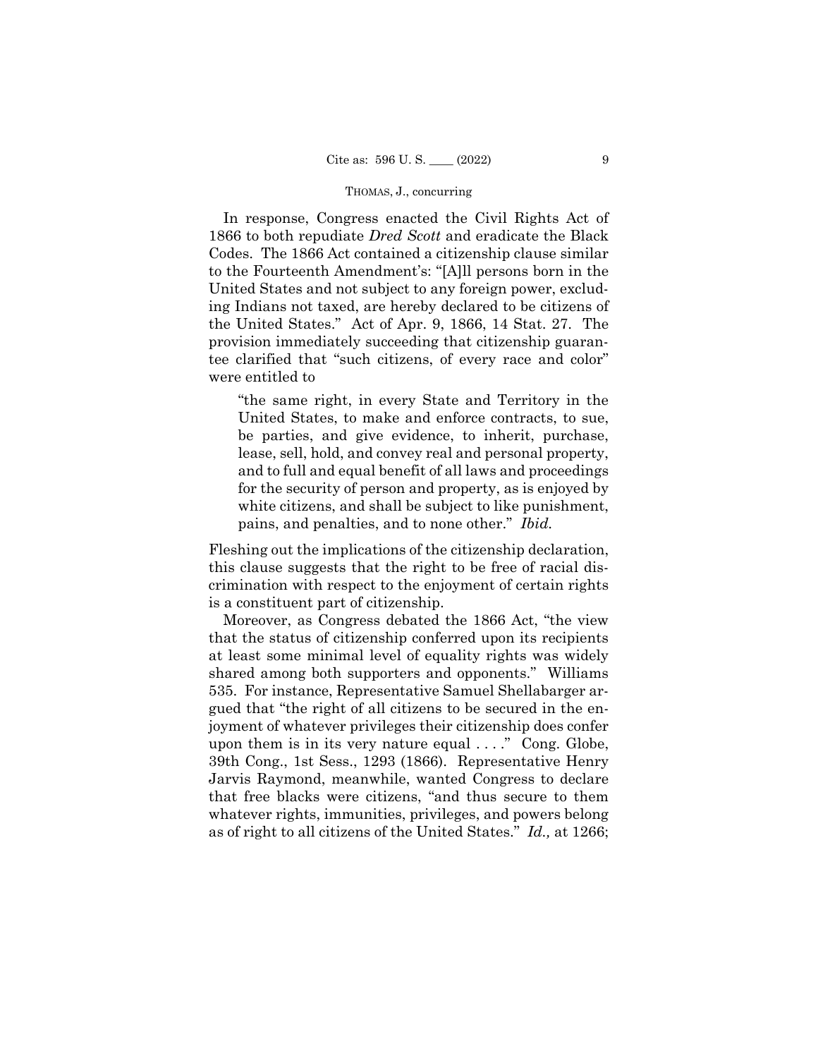In response, Congress enacted the Civil Rights Act of 1866 to both repudiate *Dred Scott* and eradicate the Black Codes. The 1866 Act contained a citizenship clause similar to the Fourteenth Amendment's: "[A]ll persons born in the United States and not subject to any foreign power, excluding Indians not taxed, are hereby declared to be citizens of the United States." Act of Apr. 9, 1866, 14 Stat. 27. The provision immediately succeeding that citizenship guarantee clarified that "such citizens, of every race and color" were entitled to

"the same right, in every State and Territory in the United States, to make and enforce contracts, to sue, be parties, and give evidence, to inherit, purchase, lease, sell, hold, and convey real and personal property, and to full and equal benefit of all laws and proceedings for the security of person and property, as is enjoyed by white citizens, and shall be subject to like punishment, pains, and penalties, and to none other." *Ibid.* 

Fleshing out the implications of the citizenship declaration, this clause suggests that the right to be free of racial discrimination with respect to the enjoyment of certain rights is a constituent part of citizenship.

Moreover, as Congress debated the 1866 Act, "the view that the status of citizenship conferred upon its recipients at least some minimal level of equality rights was widely shared among both supporters and opponents." Williams 535. For instance, Representative Samuel Shellabarger argued that "the right of all citizens to be secured in the enjoyment of whatever privileges their citizenship does confer upon them is in its very nature equal  $\dots$ ." Cong. Globe, 39th Cong., 1st Sess., 1293 (1866). Representative Henry Jarvis Raymond, meanwhile, wanted Congress to declare that free blacks were citizens, "and thus secure to them whatever rights, immunities, privileges, and powers belong as of right to all citizens of the United States." *Id.,* at 1266;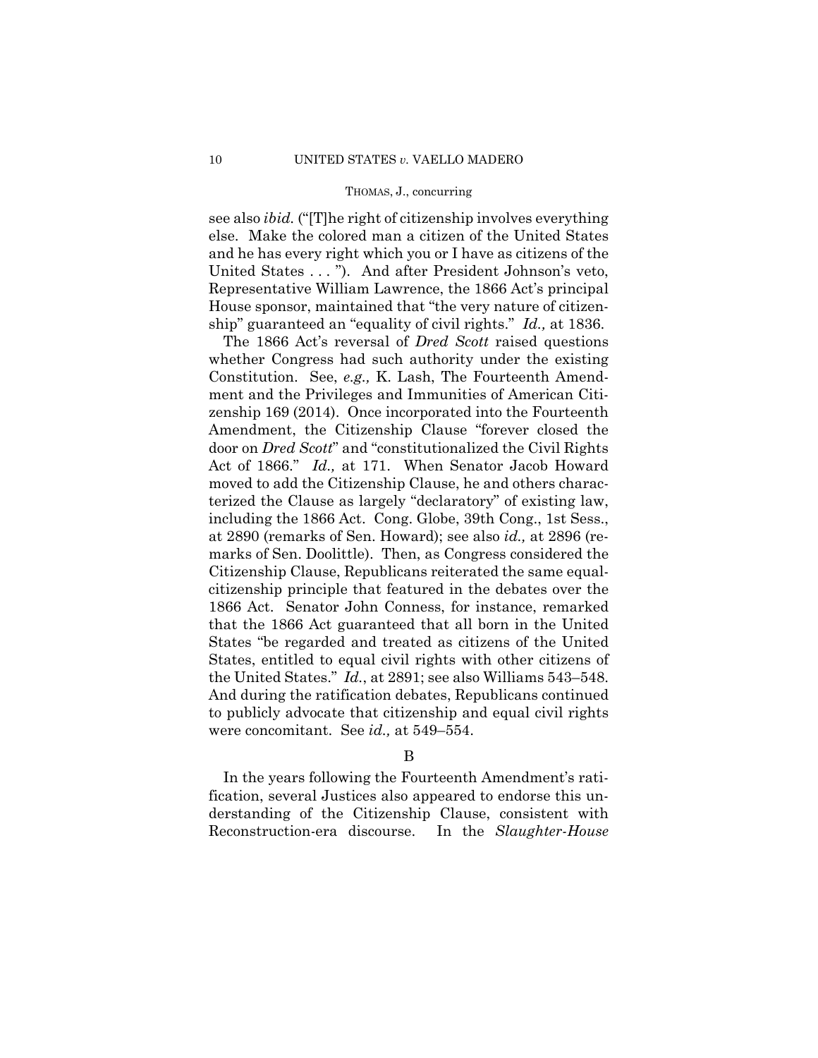see also *ibid.* ("[T]he right of citizenship involves everything else. Make the colored man a citizen of the United States and he has every right which you or I have as citizens of the United States . . . "). And after President Johnson's veto, Representative William Lawrence, the 1866 Act's principal House sponsor, maintained that "the very nature of citizenship" guaranteed an "equality of civil rights." *Id.,* at 1836.

The 1866 Act's reversal of *Dred Scott* raised questions whether Congress had such authority under the existing Constitution. See, *e.g.,* K. Lash, The Fourteenth Amendment and the Privileges and Immunities of American Citizenship 169 (2014). Once incorporated into the Fourteenth Amendment, the Citizenship Clause "forever closed the door on *Dred Scott*" and "constitutionalized the Civil Rights Act of 1866." *Id.,* at 171. When Senator Jacob Howard moved to add the Citizenship Clause, he and others characterized the Clause as largely "declaratory" of existing law, including the 1866 Act. Cong. Globe, 39th Cong., 1st Sess., at 2890 (remarks of Sen. Howard); see also *id.,* at 2896 (remarks of Sen. Doolittle). Then, as Congress considered the Citizenship Clause, Republicans reiterated the same equalcitizenship principle that featured in the debates over the 1866 Act. Senator John Conness, for instance, remarked that the 1866 Act guaranteed that all born in the United States "be regarded and treated as citizens of the United States, entitled to equal civil rights with other citizens of the United States." *Id.*, at 2891; see also Williams 543–548. And during the ratification debates, Republicans continued to publicly advocate that citizenship and equal civil rights were concomitant. See *id.,* at 549–554.

# B

In the years following the Fourteenth Amendment's ratification, several Justices also appeared to endorse this understanding of the Citizenship Clause, consistent with Reconstruction-era discourse. In the *Slaughter-House*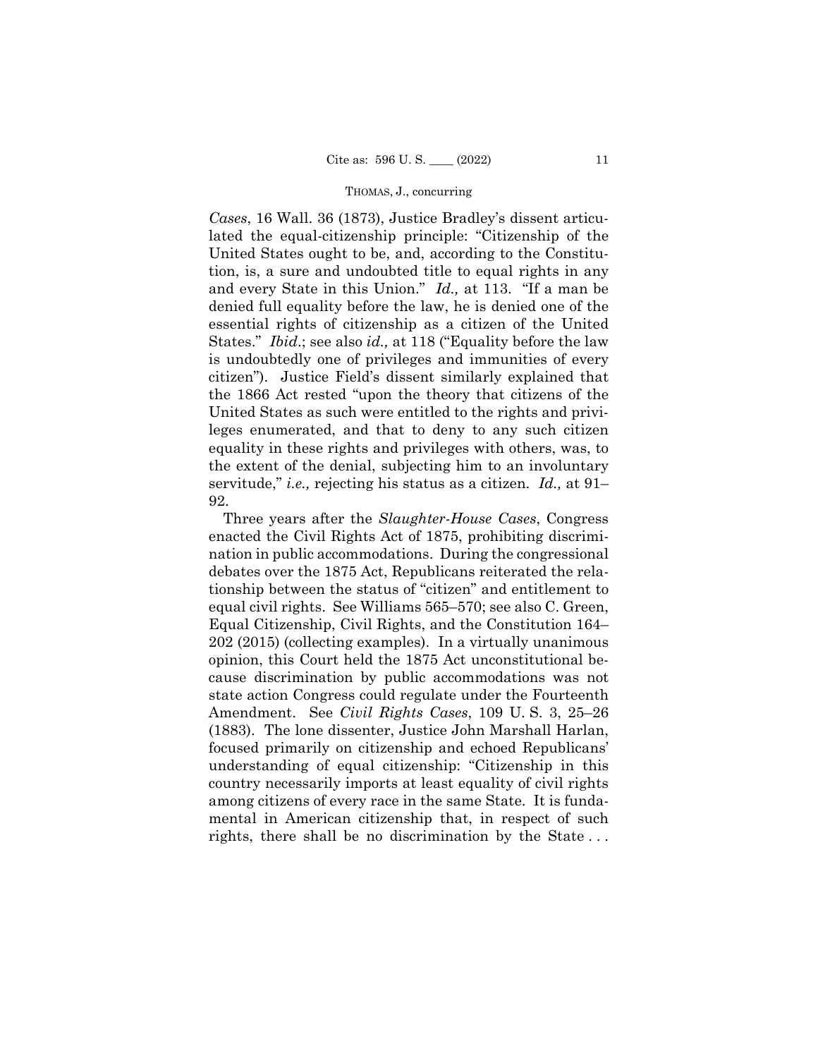servitude," *i.e.,* rejecting his status as a citizen. *Id.,* at 91– *Cases*, 16 Wall. 36 (1873), Justice Bradley's dissent articulated the equal-citizenship principle: "Citizenship of the United States ought to be, and, according to the Constitution, is, a sure and undoubted title to equal rights in any and every State in this Union." *Id.,* at 113. "If a man be denied full equality before the law, he is denied one of the essential rights of citizenship as a citizen of the United States." *Ibid*.; see also *id.,* at 118 ("Equality before the law is undoubtedly one of privileges and immunities of every citizen"). Justice Field's dissent similarly explained that the 1866 Act rested "upon the theory that citizens of the United States as such were entitled to the rights and privileges enumerated, and that to deny to any such citizen equality in these rights and privileges with others, was, to the extent of the denial, subjecting him to an involuntary 92.

Three years after the *Slaughter-House Cases*, Congress enacted the Civil Rights Act of 1875, prohibiting discrimination in public accommodations. During the congressional debates over the 1875 Act, Republicans reiterated the relationship between the status of "citizen" and entitlement to equal civil rights. See Williams 565–570; see also C. Green, Equal Citizenship, Civil Rights, and the Constitution 164– 202 (2015) (collecting examples). In a virtually unanimous opinion, this Court held the 1875 Act unconstitutional because discrimination by public accommodations was not state action Congress could regulate under the Fourteenth Amendment. See *Civil Rights Cases*, 109 U. S. 3, 25–26 (1883). The lone dissenter, Justice John Marshall Harlan, focused primarily on citizenship and echoed Republicans' understanding of equal citizenship: "Citizenship in this country necessarily imports at least equality of civil rights among citizens of every race in the same State. It is fundamental in American citizenship that, in respect of such rights, there shall be no discrimination by the State . . .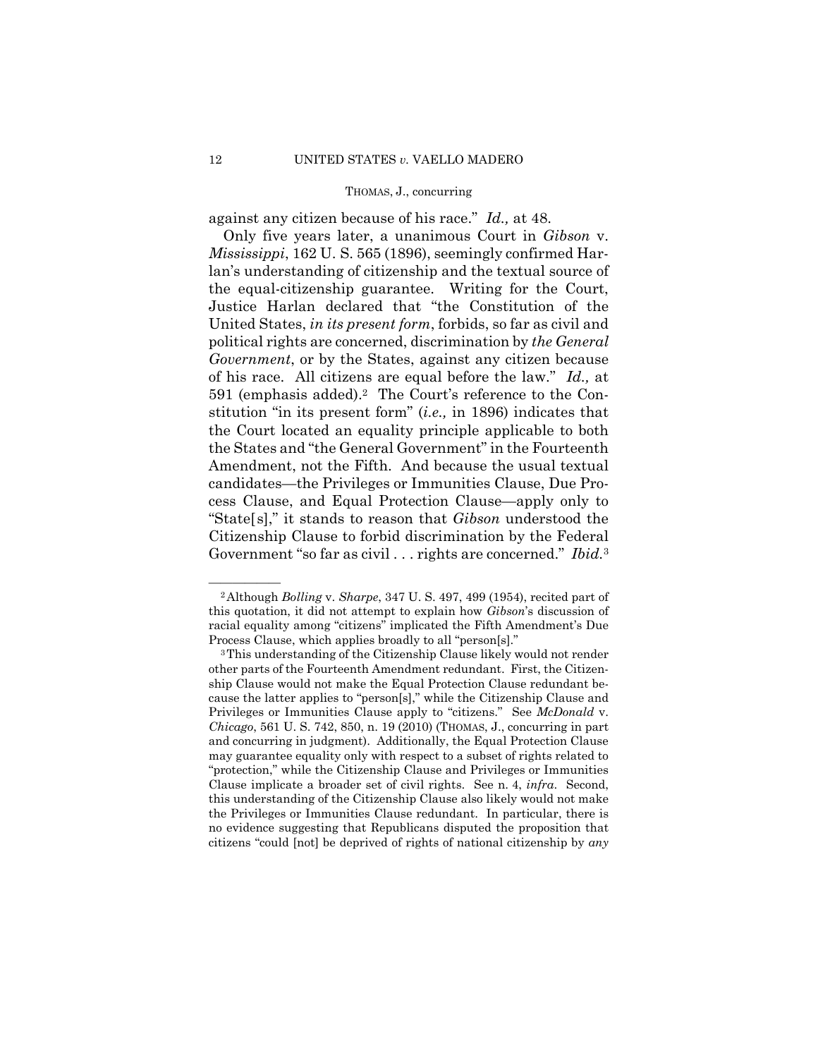against any citizen because of his race." *Id.,* at 48.

Only five years later, a unanimous Court in *Gibson* v. *Mississippi*, 162 U. S. 565 (1896), seemingly confirmed Harlan's understanding of citizenship and the textual source of the equal-citizenship guarantee. Writing for the Court, Justice Harlan declared that "the Constitution of the United States, *in its present form*, forbids, so far as civil and political rights are concerned, discrimination by *the General Government*, or by the States, against any citizen because of his race. All citizens are equal before the law." *Id.,* at 591 (emphasis added).2 The Court's reference to the Constitution "in its present form" (*i.e.,* in 1896) indicates that the Court located an equality principle applicable to both the States and "the General Government" in the Fourteenth Amendment, not the Fifth. And because the usual textual candidates—the Privileges or Immunities Clause, Due Process Clause, and Equal Protection Clause—apply only to "State[s]," it stands to reason that *Gibson* understood the Citizenship Clause to forbid discrimination by the Federal Government "so far as civil . . . rights are concerned." *Ibid.*<sup>3</sup>

<sup>&</sup>lt;sup>2</sup> Although *Bolling v. Sharpe*, 347 U. S. 497, 499 (1954), recited part of this quotation, it did not attempt to explain how *Gibson*'s discussion of racial equality among "citizens" implicated the Fifth Amendment's Due Process Clause, which applies broadly to all "person[s]."

<sup>3</sup>This understanding of the Citizenship Clause likely would not render other parts of the Fourteenth Amendment redundant. First, the Citizenship Clause would not make the Equal Protection Clause redundant because the latter applies to "person[s]," while the Citizenship Clause and Privileges or Immunities Clause apply to "citizens." See *McDonald* v. *Chicago*, 561 U. S. 742, 850, n. 19 (2010) (THOMAS, J., concurring in part and concurring in judgment). Additionally, the Equal Protection Clause may guarantee equality only with respect to a subset of rights related to "protection," while the Citizenship Clause and Privileges or Immunities Clause implicate a broader set of civil rights. See n. 4, *infra*. Second, this understanding of the Citizenship Clause also likely would not make the Privileges or Immunities Clause redundant. In particular, there is no evidence suggesting that Republicans disputed the proposition that citizens "could [not] be deprived of rights of national citizenship by *any*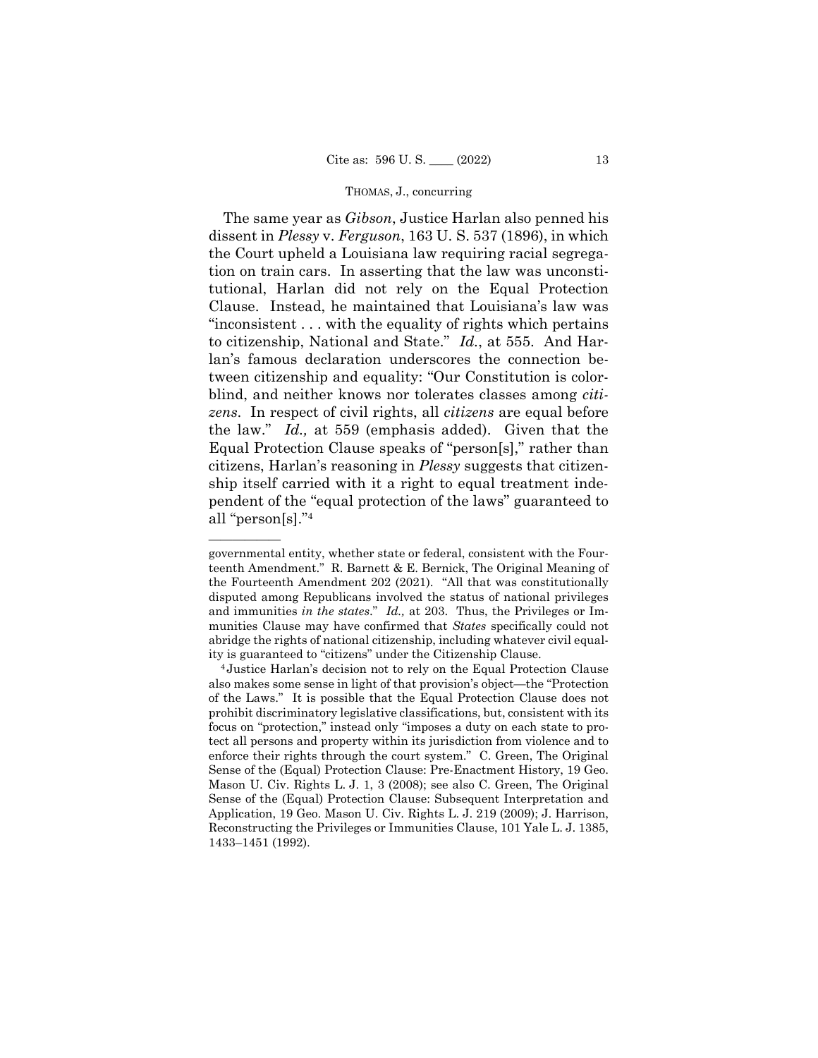The same year as *Gibson*, Justice Harlan also penned his dissent in *Plessy* v. *Ferguson*, 163 U. S. 537 (1896), in which the Court upheld a Louisiana law requiring racial segregation on train cars. In asserting that the law was unconstitutional, Harlan did not rely on the Equal Protection Clause. Instead, he maintained that Louisiana's law was "inconsistent . . . with the equality of rights which pertains to citizenship, National and State." *Id.*, at 555. And Harlan's famous declaration underscores the connection between citizenship and equality: "Our Constitution is colorblind, and neither knows nor tolerates classes among *citizens*. In respect of civil rights, all *citizens* are equal before the law." *Id.,* at 559 (emphasis added). Given that the Equal Protection Clause speaks of "person[s]," rather than citizens, Harlan's reasoning in *Plessy* suggests that citizenship itself carried with it a right to equal treatment independent of the "equal protection of the laws" guaranteed to all "person[s]."4

——————

governmental entity, whether state or federal, consistent with the Fourteenth Amendment." R. Barnett & E. Bernick, The Original Meaning of the Fourteenth Amendment 202 (2021). "All that was constitutionally disputed among Republicans involved the status of national privileges and immunities *in the states*." *Id.,* at 203. Thus, the Privileges or Immunities Clause may have confirmed that *States* specifically could not abridge the rights of national citizenship, including whatever civil equal-

ity is guaranteed to "citizens" under the Citizenship Clause. 4 Justice Harlan's decision not to rely on the Equal Protection Clause also makes some sense in light of that provision's object—the "Protection of the Laws." It is possible that the Equal Protection Clause does not prohibit discriminatory legislative classifications, but, consistent with its focus on "protection," instead only "imposes a duty on each state to protect all persons and property within its jurisdiction from violence and to enforce their rights through the court system." C. Green, The Original Sense of the (Equal) Protection Clause: Pre-Enactment History, 19 Geo. Mason U. Civ. Rights L. J. 1, 3 (2008); see also C. Green, The Original Sense of the (Equal) Protection Clause: Subsequent Interpretation and Application, 19 Geo. Mason U. Civ. Rights L. J. 219 (2009); J. Harrison, Reconstructing the Privileges or Immunities Clause, 101 Yale L. J. 1385, 1433–1451 (1992).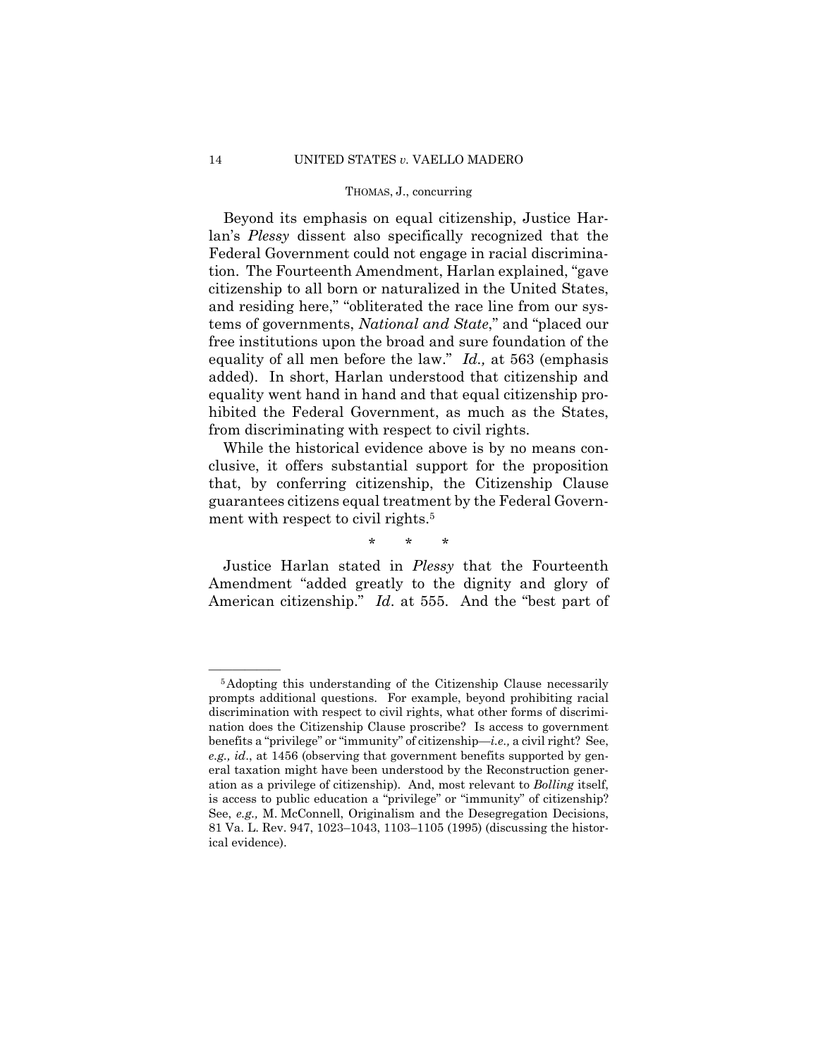Beyond its emphasis on equal citizenship, Justice Harlan's *Plessy* dissent also specifically recognized that the Federal Government could not engage in racial discrimination. The Fourteenth Amendment, Harlan explained, "gave citizenship to all born or naturalized in the United States, and residing here," "obliterated the race line from our systems of governments, *National and State*," and "placed our free institutions upon the broad and sure foundation of the equality of all men before the law." *Id.,* at 563 (emphasis added). In short, Harlan understood that citizenship and equality went hand in hand and that equal citizenship prohibited the Federal Government, as much as the States, from discriminating with respect to civil rights.

While the historical evidence above is by no means conclusive, it offers substantial support for the proposition that, by conferring citizenship, the Citizenship Clause guarantees citizens equal treatment by the Federal Government with respect to civil rights.<sup>5</sup>

\* \* \*

Justice Harlan stated in *Plessy* that the Fourteenth Amendment "added greatly to the dignity and glory of American citizenship." *Id*. at 555. And the "best part of

 is access to public education a "privilege" or "immunity" of citizenship? See, *e.g.,* M. McConnell, Originalism and the Desegregation Decisions, <sup>5</sup>Adopting this understanding of the Citizenship Clause necessarily prompts additional questions. For example, beyond prohibiting racial discrimination with respect to civil rights, what other forms of discrimination does the Citizenship Clause proscribe? Is access to government benefits a "privilege" or "immunity" of citizenship—*i.e.,* a civil right? See, *e.g., id*., at 1456 (observing that government benefits supported by general taxation might have been understood by the Reconstruction generation as a privilege of citizenship). And, most relevant to *Bolling* itself, 81 Va. L. Rev. 947, 1023–1043, 1103–1105 (1995) (discussing the historical evidence).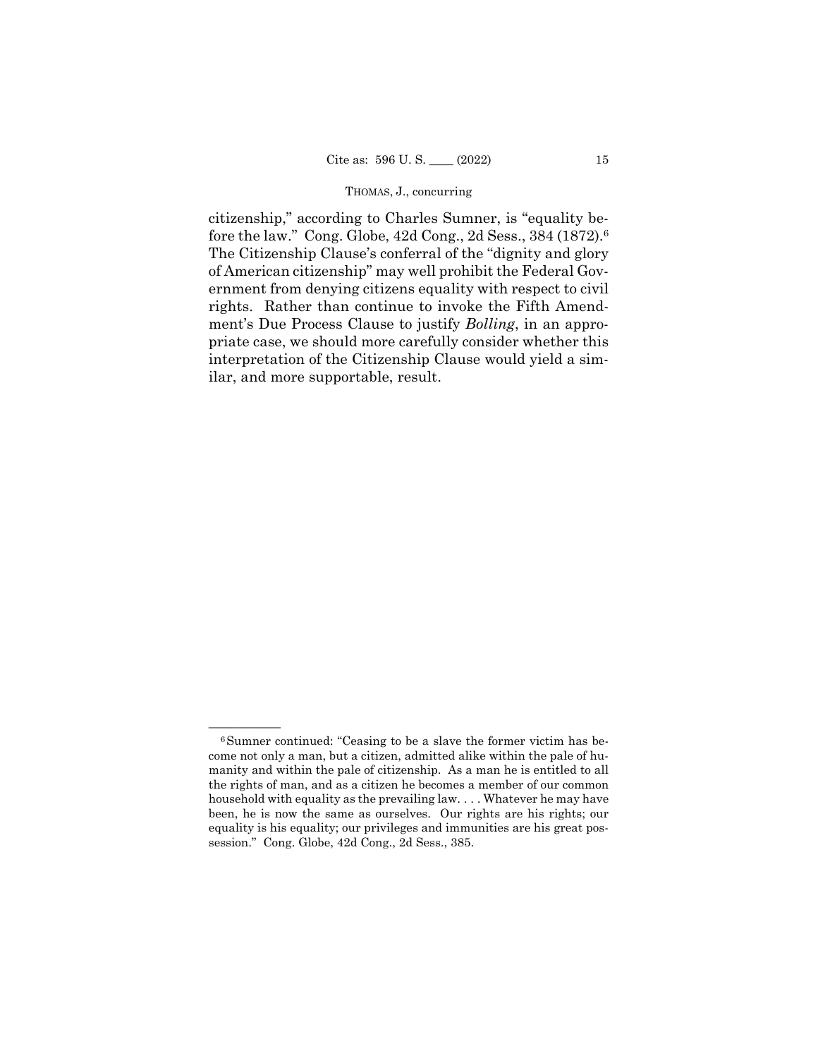fore the law." Cong. Globe, 42d Cong., 2d Sess., 384 (1872).6 citizenship," according to Charles Sumner, is "equality be-The Citizenship Clause's conferral of the "dignity and glory of American citizenship" may well prohibit the Federal Government from denying citizens equality with respect to civil rights. Rather than continue to invoke the Fifth Amendment's Due Process Clause to justify *Bolling*, in an appropriate case, we should more carefully consider whether this interpretation of the Citizenship Clause would yield a similar, and more supportable, result.

 been, he is now the same as ourselves. Our rights are his rights; our  $6$ Sumner continued: "Ceasing to be a slave the former victim has become not only a man, but a citizen, admitted alike within the pale of humanity and within the pale of citizenship. As a man he is entitled to all the rights of man, and as a citizen he becomes a member of our common household with equality as the prevailing law. . . . Whatever he may have equality is his equality; our privileges and immunities are his great possession." Cong. Globe, 42d Cong., 2d Sess., 385.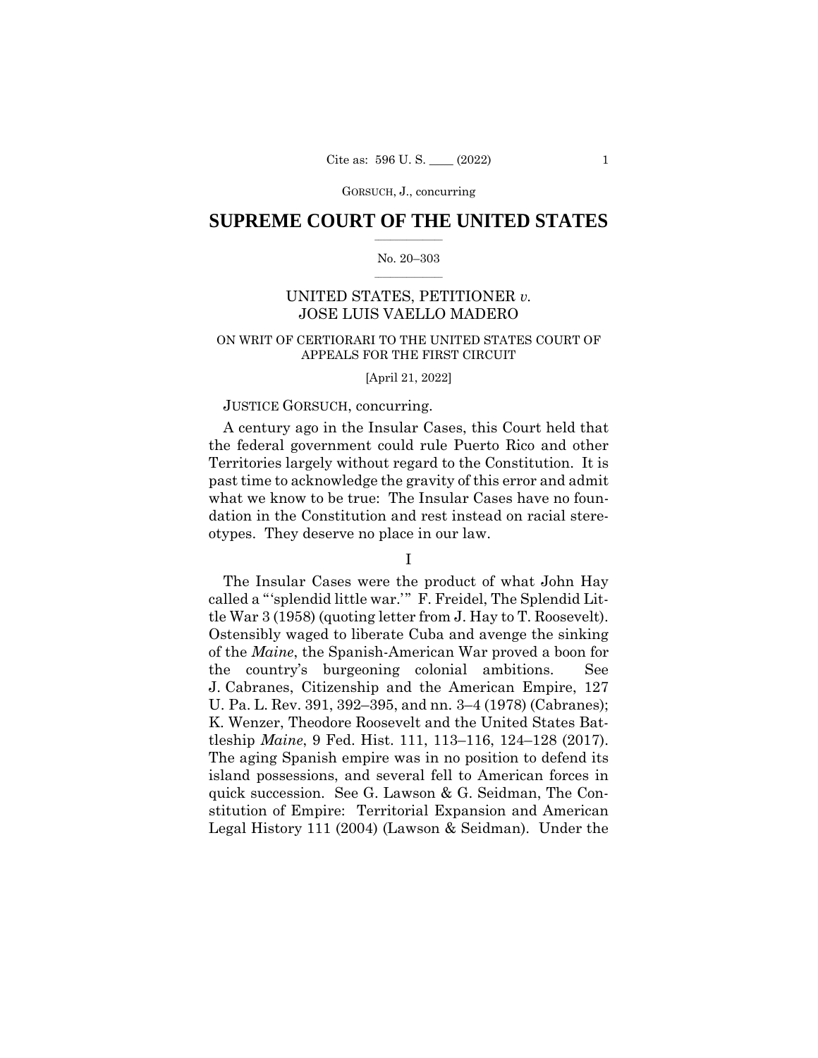# $\frac{1}{2}$  ,  $\frac{1}{2}$  ,  $\frac{1}{2}$  ,  $\frac{1}{2}$  ,  $\frac{1}{2}$  ,  $\frac{1}{2}$  ,  $\frac{1}{2}$ **SUPREME COURT OF THE UNITED STATES**

# $\frac{1}{2}$  ,  $\frac{1}{2}$  ,  $\frac{1}{2}$  ,  $\frac{1}{2}$  ,  $\frac{1}{2}$  ,  $\frac{1}{2}$ No. 20–303

# UNITED STATES, PETITIONER *v.*  JOSE LUIS VAELLO MADERO

# ON WRIT OF CERTIORARI TO THE UNITED STATES COURT OF APPEALS FOR THE FIRST CIRCUIT

# [April 21, 2022]

# JUSTICE GORSUCH, concurring.

A century ago in the Insular Cases, this Court held that the federal government could rule Puerto Rico and other Territories largely without regard to the Constitution. It is past time to acknowledge the gravity of this error and admit what we know to be true: The Insular Cases have no foundation in the Constitution and rest instead on racial stereotypes. They deserve no place in our law.

I

The Insular Cases were the product of what John Hay called a "'splendid little war.'" F. Freidel, The Splendid Little War 3 (1958) (quoting letter from J. Hay to T. Roosevelt). Ostensibly waged to liberate Cuba and avenge the sinking of the *Maine*, the Spanish-American War proved a boon for the country's burgeoning colonial ambitions. See J. Cabranes, Citizenship and the American Empire, 127 U. Pa. L. Rev. 391, 392–395, and nn. 3–4 (1978) (Cabranes); K. Wenzer, Theodore Roosevelt and the United States Battleship *Maine*, 9 Fed. Hist. 111, 113–116, 124–128 (2017). The aging Spanish empire was in no position to defend its island possessions, and several fell to American forces in quick succession. See G. Lawson & G. Seidman, The Constitution of Empire: Territorial Expansion and American Legal History 111 (2004) (Lawson & Seidman). Under the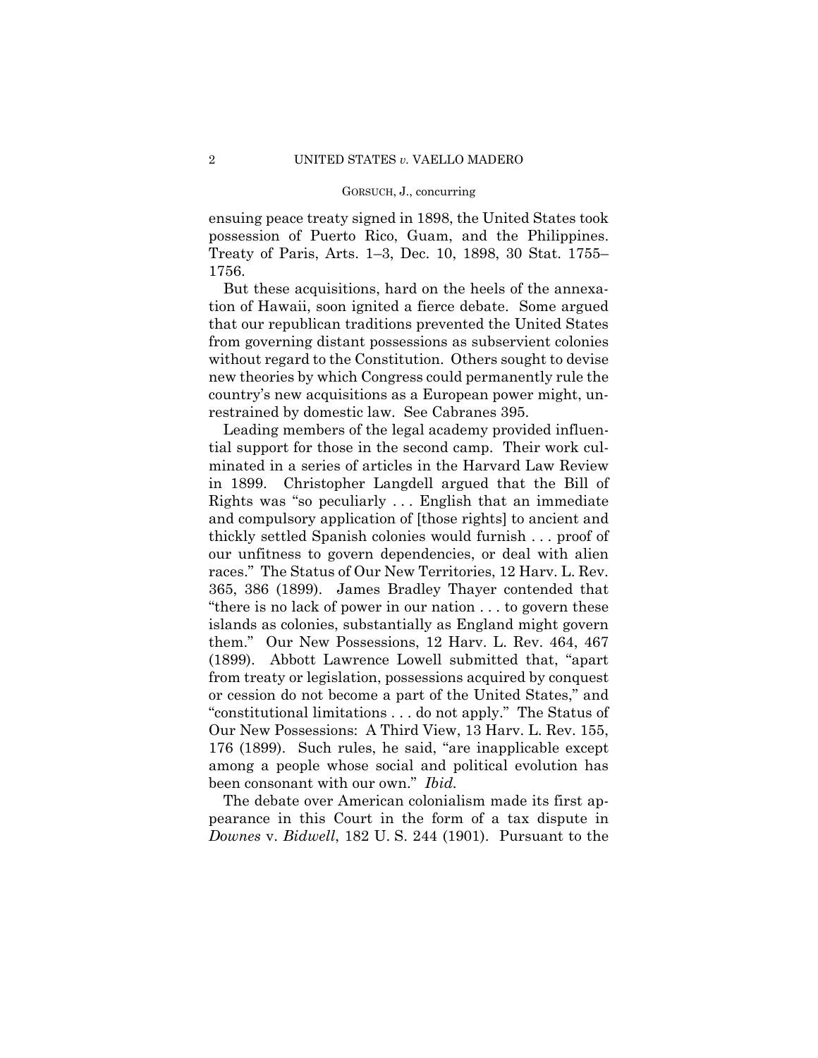ensuing peace treaty signed in 1898, the United States took possession of Puerto Rico, Guam, and the Philippines. Treaty of Paris, Arts. 1–3, Dec. 10, 1898, 30 Stat. 1755– 1756.

But these acquisitions, hard on the heels of the annexation of Hawaii, soon ignited a fierce debate. Some argued that our republican traditions prevented the United States from governing distant possessions as subservient colonies without regard to the Constitution. Others sought to devise new theories by which Congress could permanently rule the country's new acquisitions as a European power might, unrestrained by domestic law. See Cabranes 395.

Leading members of the legal academy provided influential support for those in the second camp. Their work culminated in a series of articles in the Harvard Law Review in 1899. Christopher Langdell argued that the Bill of Rights was "so peculiarly . . . English that an immediate and compulsory application of [those rights] to ancient and thickly settled Spanish colonies would furnish . . . proof of our unfitness to govern dependencies, or deal with alien races." The Status of Our New Territories, 12 Harv. L. Rev. 365, 386 (1899). James Bradley Thayer contended that "there is no lack of power in our nation . . . to govern these islands as colonies, substantially as England might govern them." Our New Possessions, 12 Harv. L. Rev. 464, 467 (1899). Abbott Lawrence Lowell submitted that, "apart from treaty or legislation, possessions acquired by conquest or cession do not become a part of the United States," and "constitutional limitations . . . do not apply." The Status of Our New Possessions: A Third View, 13 Harv. L. Rev. 155, 176 (1899). Such rules, he said, "are inapplicable except among a people whose social and political evolution has been consonant with our own." *Ibid.* 

The debate over American colonialism made its first appearance in this Court in the form of a tax dispute in *Downes* v. *Bidwell*, 182 U. S. 244 (1901). Pursuant to the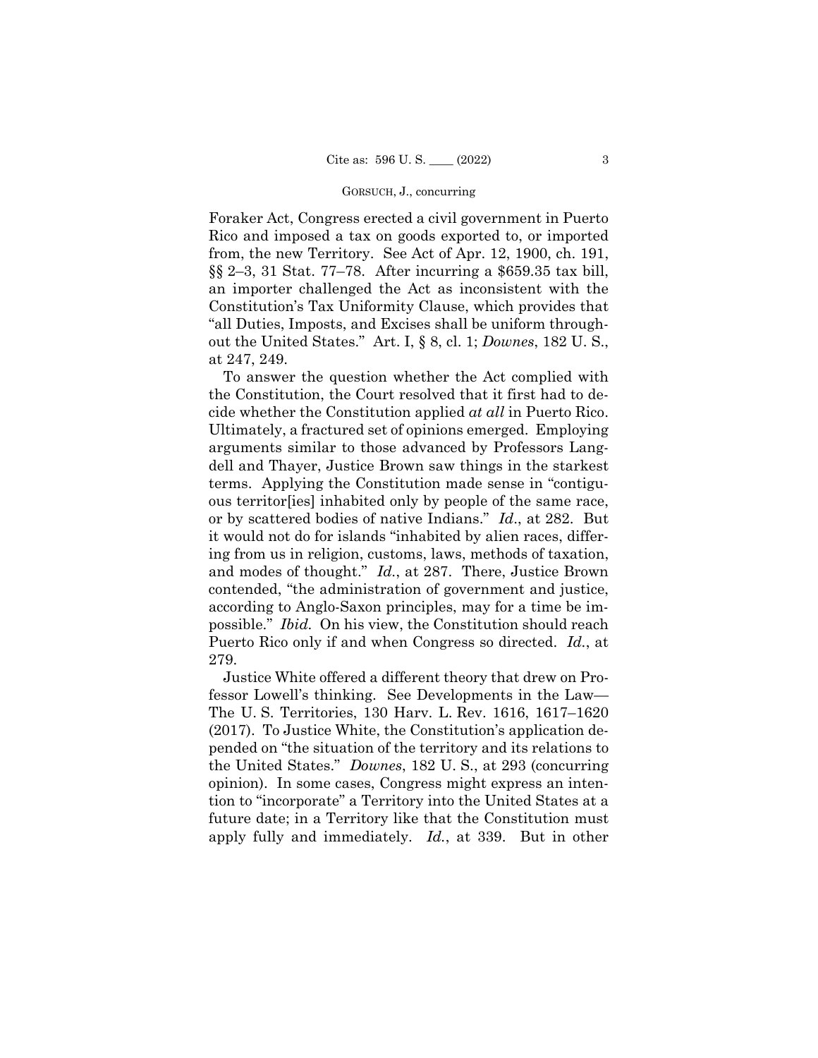Foraker Act, Congress erected a civil government in Puerto Rico and imposed a tax on goods exported to, or imported from, the new Territory. See Act of Apr. 12, 1900, ch. 191, §§ 2–3, 31 Stat. 77–78. After incurring a \$659.35 tax bill, an importer challenged the Act as inconsistent with the Constitution's Tax Uniformity Clause, which provides that "all Duties, Imposts, and Excises shall be uniform throughout the United States." Art. I, § 8, cl. 1; *Downes*, 182 U. S., at 247, 249.

To answer the question whether the Act complied with the Constitution, the Court resolved that it first had to decide whether the Constitution applied *at all* in Puerto Rico. Ultimately, a fractured set of opinions emerged. Employing arguments similar to those advanced by Professors Langdell and Thayer, Justice Brown saw things in the starkest terms. Applying the Constitution made sense in "contiguous territor[ies] inhabited only by people of the same race, or by scattered bodies of native Indians." *Id*., at 282. But it would not do for islands "inhabited by alien races, differing from us in religion, customs, laws, methods of taxation, and modes of thought." *Id.*, at 287. There, Justice Brown contended, "the administration of government and justice, according to Anglo-Saxon principles, may for a time be impossible." *Ibid.* On his view, the Constitution should reach Puerto Rico only if and when Congress so directed. *Id.*, at 279.

Justice White offered a different theory that drew on Professor Lowell's thinking. See Developments in the Law— The U. S. Territories, 130 Harv. L. Rev. 1616, 1617–1620 (2017). To Justice White, the Constitution's application depended on "the situation of the territory and its relations to the United States." *Downes*, 182 U. S., at 293 (concurring opinion). In some cases, Congress might express an intention to "incorporate" a Territory into the United States at a future date; in a Territory like that the Constitution must apply fully and immediately. *Id.*, at 339. But in other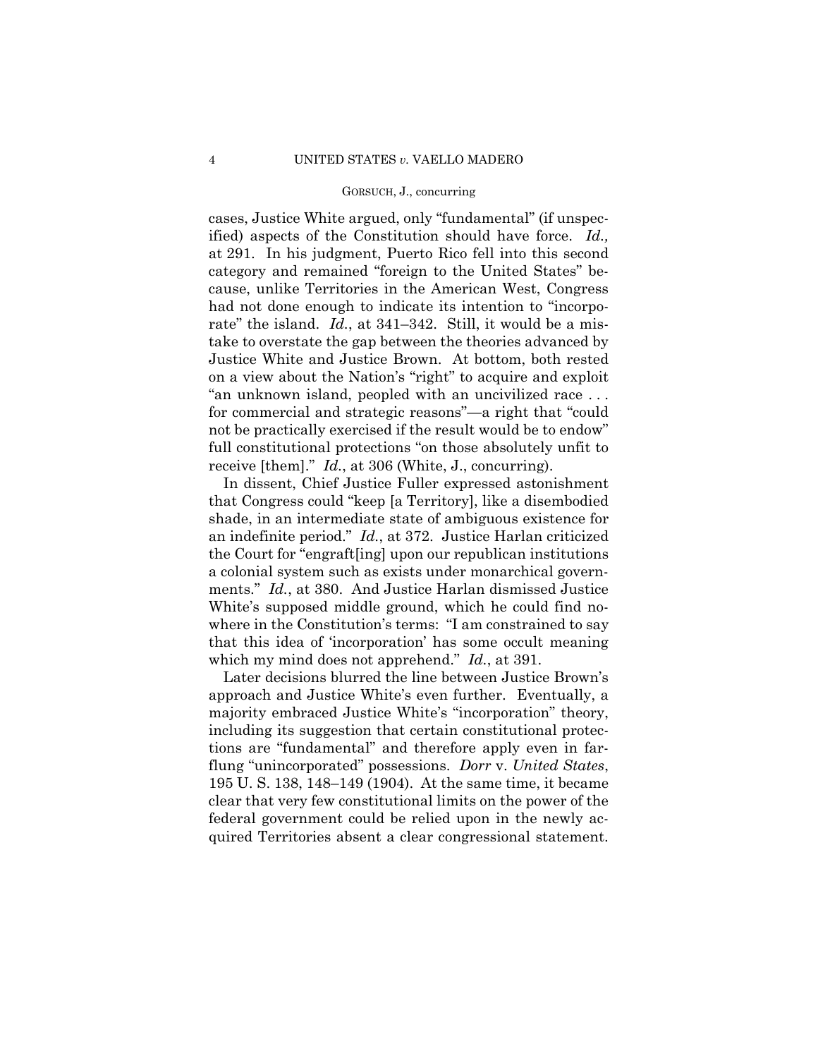cases, Justice White argued, only "fundamental" (if unspecified) aspects of the Constitution should have force. *Id.,*  at 291. In his judgment, Puerto Rico fell into this second category and remained "foreign to the United States" because, unlike Territories in the American West, Congress had not done enough to indicate its intention to "incorporate" the island. *Id.*, at 341–342. Still, it would be a mistake to overstate the gap between the theories advanced by Justice White and Justice Brown. At bottom, both rested on a view about the Nation's "right" to acquire and exploit "an unknown island, peopled with an uncivilized race . . . for commercial and strategic reasons"—a right that "could not be practically exercised if the result would be to endow" full constitutional protections "on those absolutely unfit to receive [them]." *Id.*, at 306 (White, J., concurring).

In dissent, Chief Justice Fuller expressed astonishment that Congress could "keep [a Territory], like a disembodied shade, in an intermediate state of ambiguous existence for an indefinite period." *Id.*, at 372. Justice Harlan criticized the Court for "engraft[ing] upon our republican institutions a colonial system such as exists under monarchical governments." *Id.*, at 380. And Justice Harlan dismissed Justice White's supposed middle ground, which he could find nowhere in the Constitution's terms: "I am constrained to say that this idea of 'incorporation' has some occult meaning which my mind does not apprehend." *Id.*, at 391.

 quired Territories absent a clear congressional statement. Later decisions blurred the line between Justice Brown's approach and Justice White's even further. Eventually, a majority embraced Justice White's "incorporation" theory, including its suggestion that certain constitutional protections are "fundamental" and therefore apply even in farflung "unincorporated" possessions. *Dorr* v. *United States*, 195 U. S. 138, 148–149 (1904). At the same time, it became clear that very few constitutional limits on the power of the federal government could be relied upon in the newly ac-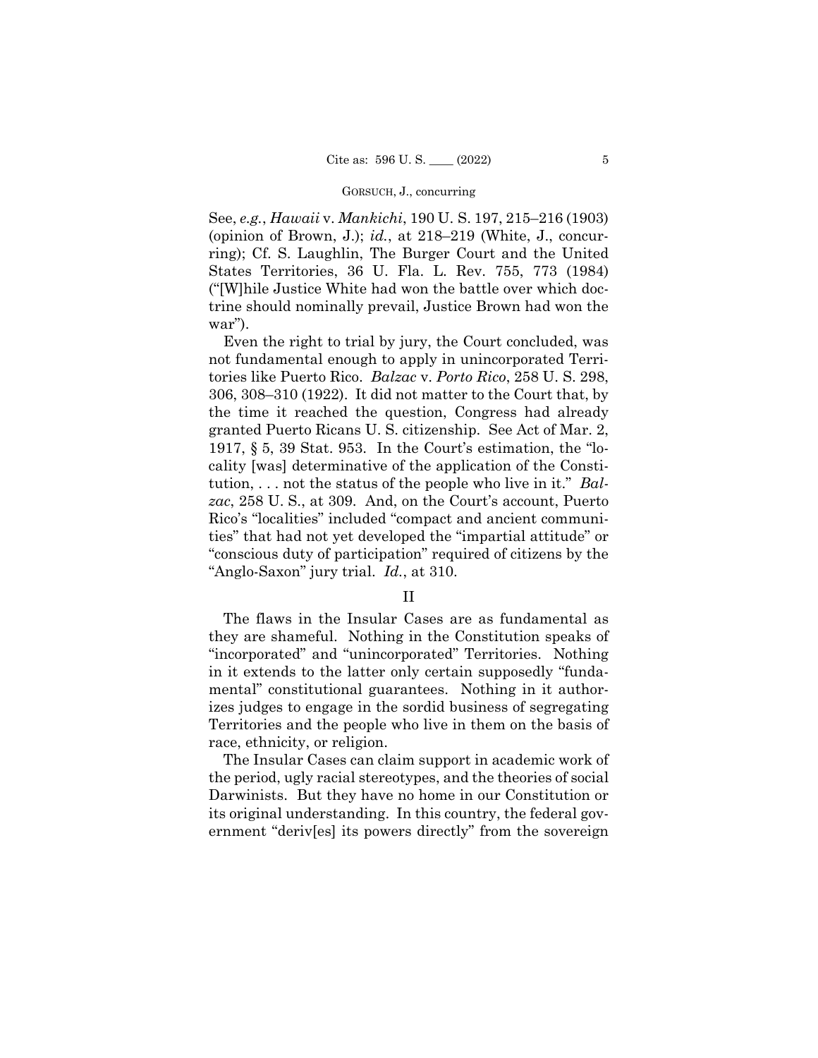See, *e.g.*, *Hawaii* v. *Mankichi*, 190 U. S. 197, 215–216 (1903) (opinion of Brown, J.); *id.*, at 218–219 (White, J., concurring); Cf. S. Laughlin, The Burger Court and the United States Territories, 36 U. Fla. L. Rev. 755, 773 (1984) ("[W]hile Justice White had won the battle over which doctrine should nominally prevail, Justice Brown had won the war").

Even the right to trial by jury, the Court concluded, was not fundamental enough to apply in unincorporated Territories like Puerto Rico. *Balzac* v. *Porto Rico*, 258 U. S. 298, 306, 308–310 (1922). It did not matter to the Court that, by the time it reached the question, Congress had already granted Puerto Ricans U. S. citizenship. See Act of Mar. 2, 1917, § 5, 39 Stat. 953. In the Court's estimation, the "locality [was] determinative of the application of the Constitution, . . . not the status of the people who live in it." *Balzac*, 258 U. S., at 309. And, on the Court's account, Puerto Rico's "localities" included "compact and ancient communities" that had not yet developed the "impartial attitude" or "conscious duty of participation" required of citizens by the "Anglo-Saxon" jury trial. *Id.*, at 310.

# II

The flaws in the Insular Cases are as fundamental as they are shameful. Nothing in the Constitution speaks of "incorporated" and "unincorporated" Territories. Nothing in it extends to the latter only certain supposedly "fundamental" constitutional guarantees. Nothing in it authorizes judges to engage in the sordid business of segregating Territories and the people who live in them on the basis of race, ethnicity, or religion.

The Insular Cases can claim support in academic work of the period, ugly racial stereotypes, and the theories of social Darwinists. But they have no home in our Constitution or its original understanding. In this country, the federal government "deriv[es] its powers directly" from the sovereign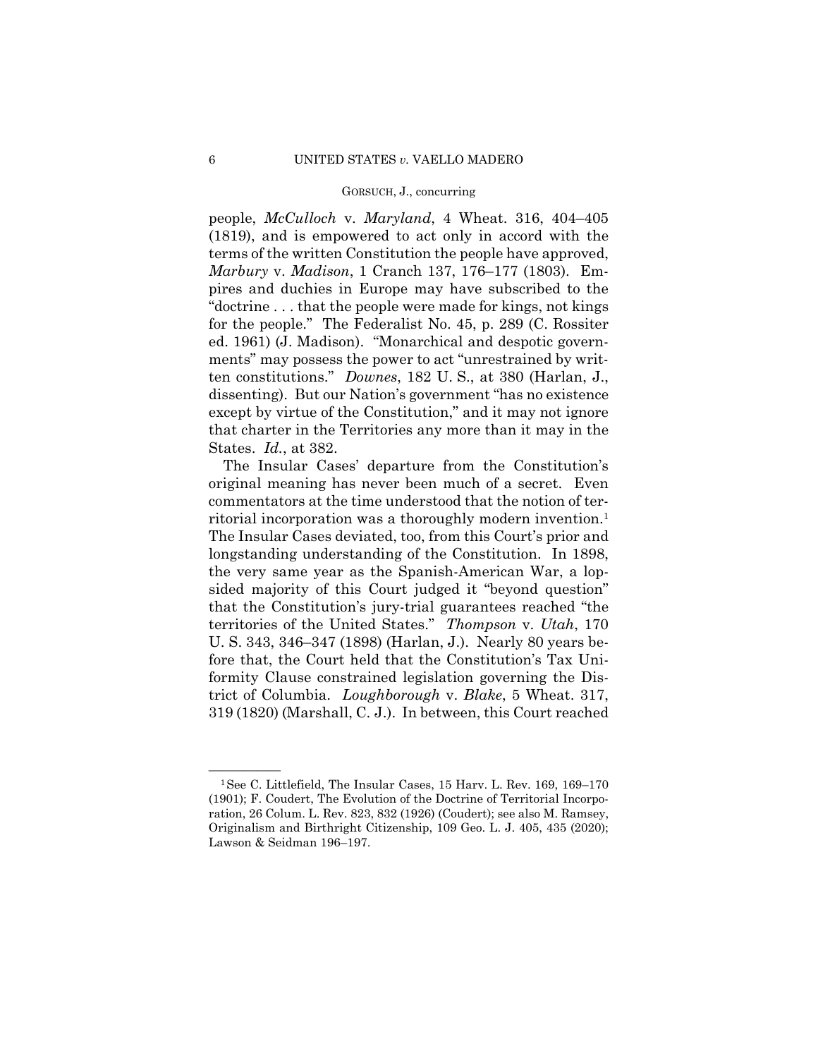people, *McCulloch* v. *Maryland*, 4 Wheat. 316, 404–405 (1819), and is empowered to act only in accord with the terms of the written Constitution the people have approved, *Marbury* v. *Madison*, 1 Cranch 137, 176–177 (1803). Empires and duchies in Europe may have subscribed to the "doctrine . . . that the people were made for kings, not kings for the people." The Federalist No. 45, p. 289 (C. Rossiter ed. 1961) (J. Madison). "Monarchical and despotic governments" may possess the power to act "unrestrained by written constitutions." *Downes*, 182 U. S., at 380 (Harlan, J., dissenting). But our Nation's government "has no existence except by virtue of the Constitution," and it may not ignore that charter in the Territories any more than it may in the States. *Id.*, at 382.

The Insular Cases' departure from the Constitution's original meaning has never been much of a secret. Even commentators at the time understood that the notion of territorial incorporation was a thoroughly modern invention.1 The Insular Cases deviated, too, from this Court's prior and longstanding understanding of the Constitution. In 1898, the very same year as the Spanish-American War, a lopsided majority of this Court judged it "beyond question" that the Constitution's jury-trial guarantees reached "the territories of the United States." *Thompson* v. *Utah*, 170 U. S. 343, 346–347 (1898) (Harlan, J.). Nearly 80 years before that, the Court held that the Constitution's Tax Uniformity Clause constrained legislation governing the District of Columbia. *Loughborough* v. *Blake*, 5 Wheat. 317, 319 (1820) (Marshall, C. J.). In between, this Court reached

<sup>&</sup>lt;sup>1</sup>See C. Littlefield, The Insular Cases, 15 Harv. L. Rev. 169, 169-170 (1901); F. Coudert, The Evolution of the Doctrine of Territorial Incorporation, 26 Colum. L. Rev. 823, 832 (1926) (Coudert); see also M. Ramsey, Originalism and Birthright Citizenship, 109 Geo. L. J. 405, 435 (2020); Lawson & Seidman 196–197.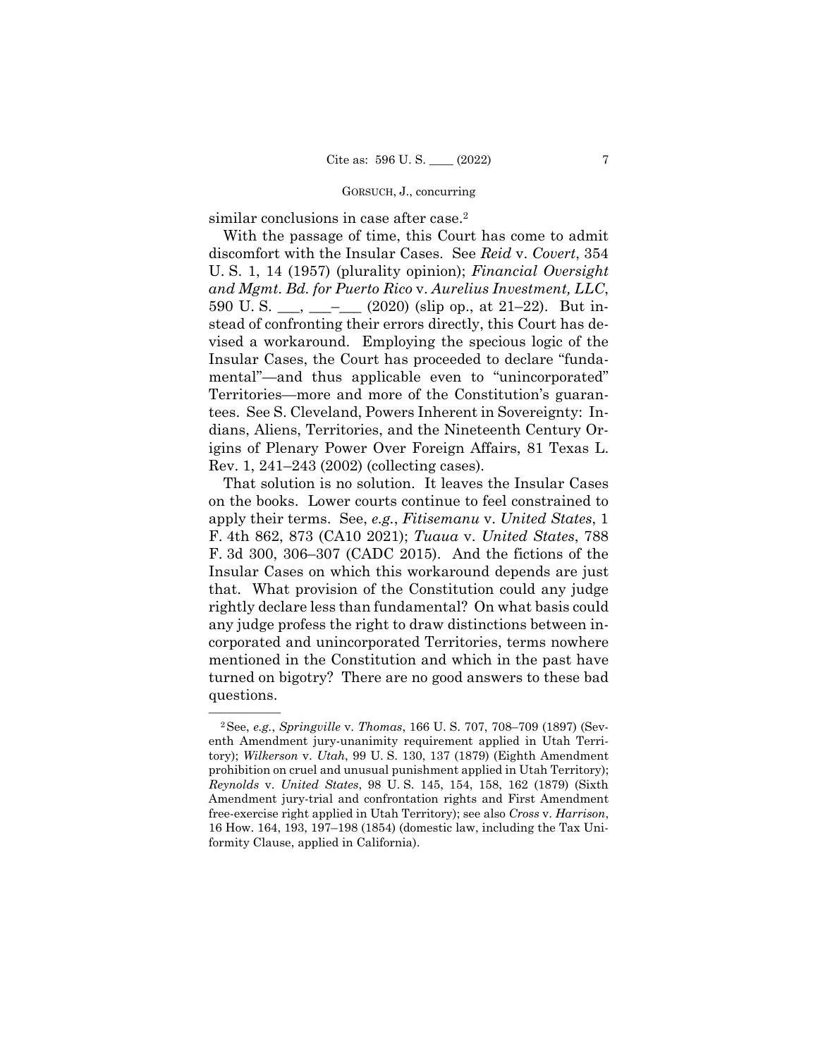similar conclusions in case after case.<sup>2</sup>

With the passage of time, this Court has come to admit discomfort with the Insular Cases. See *Reid* v. *Covert*, 354 U. S. 1, 14 (1957) (plurality opinion); *Financial Oversight and Mgmt. Bd. for Puerto Rico* v. *Aurelius Investment, LLC*, 590 U.S.  $\frac{1}{2}$   $\frac{1}{2}$   $\frac{1}{2}$  (2020) (slip op., at 21–22). But instead of confronting their errors directly, this Court has devised a workaround. Employing the specious logic of the Insular Cases, the Court has proceeded to declare "fundamental"—and thus applicable even to "unincorporated" Territories—more and more of the Constitution's guarantees. See S. Cleveland, Powers Inherent in Sovereignty: Indians, Aliens, Territories, and the Nineteenth Century Origins of Plenary Power Over Foreign Affairs, 81 Texas L. Rev. 1, 241–243 (2002) (collecting cases).

That solution is no solution. It leaves the Insular Cases on the books. Lower courts continue to feel constrained to apply their terms. See, *e.g.*, *Fitisemanu* v. *United States*, 1 F. 4th 862, 873 (CA10 2021); *Tuaua* v. *United States*, 788 F. 3d 300, 306–307 (CADC 2015). And the fictions of the Insular Cases on which this workaround depends are just that. What provision of the Constitution could any judge rightly declare less than fundamental? On what basis could any judge profess the right to draw distinctions between incorporated and unincorporated Territories, terms nowhere mentioned in the Constitution and which in the past have turned on bigotry? There are no good answers to these bad questions.

<sup>—————— 2</sup>See, *e.g.*, *Springville* v. *Thomas*, 166 U. S. 707, 708–709 (1897) (Seventh Amendment jury-unanimity requirement applied in Utah Territory); *Wilkerson* v. *Utah*, 99 U. S. 130, 137 (1879) (Eighth Amendment prohibition on cruel and unusual punishment applied in Utah Territory); *Reynolds* v. *United States*, 98 U. S. 145, 154, 158, 162 (1879) (Sixth Amendment jury-trial and confrontation rights and First Amendment free-exercise right applied in Utah Territory); see also *Cross* v. *Harrison*, 16 How. 164, 193, 197–198 (1854) (domestic law, including the Tax Uniformity Clause, applied in California).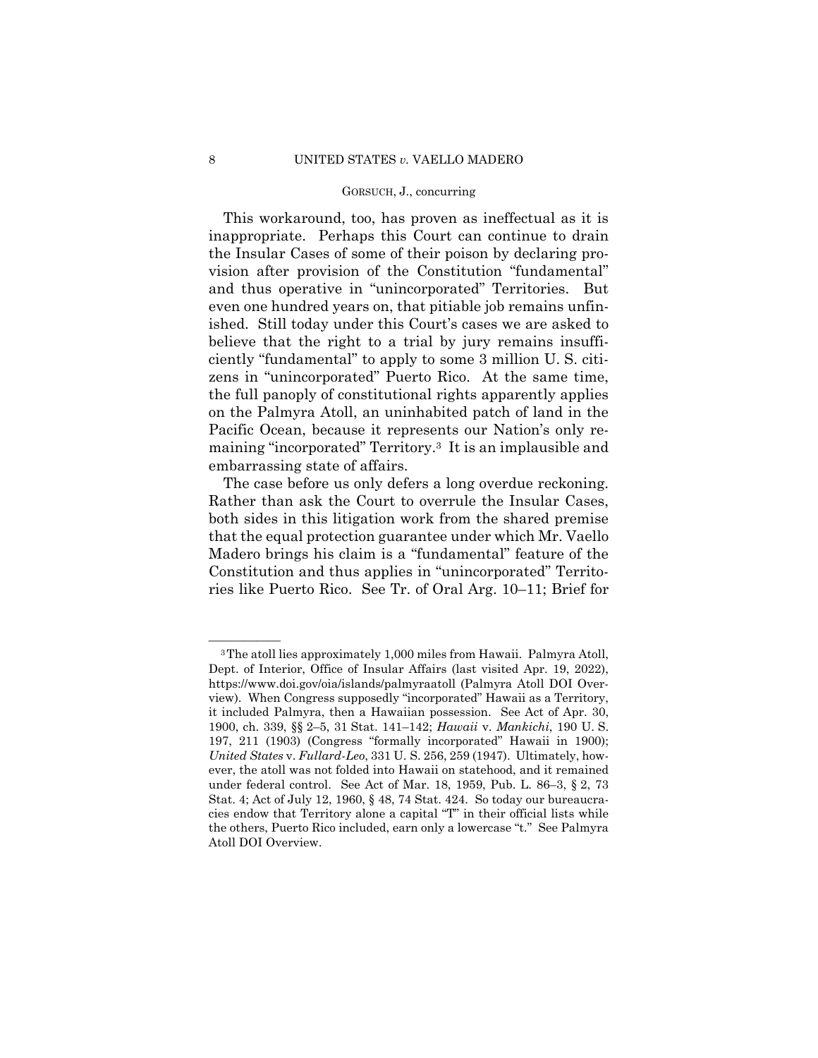This workaround, too, has proven as ineffectual as it is inappropriate. Perhaps this Court can continue to drain the Insular Cases of some of their poison by declaring provision after provision of the Constitution "fundamental" and thus operative in "unincorporated" Territories. But even one hundred years on, that pitiable job remains unfinished. Still today under this Court's cases we are asked to believe that the right to a trial by jury remains insufficiently "fundamental" to apply to some 3 million U. S. citizens in "unincorporated" Puerto Rico. At the same time, the full panoply of constitutional rights apparently applies on the Palmyra Atoll, an uninhabited patch of land in the Pacific Ocean, because it represents our Nation's only remaining "incorporated" Territory.3 It is an implausible and embarrassing state of affairs.

The case before us only defers a long overdue reckoning. Rather than ask the Court to overrule the Insular Cases, both sides in this litigation work from the shared premise that the equal protection guarantee under which Mr. Vaello Madero brings his claim is a "fundamental" feature of the Constitution and thus applies in "unincorporated" Territories like Puerto Rico. See Tr. of Oral Arg. 10–11; Brief for

<sup>&</sup>lt;sup>3</sup>The atoll lies approximately 1,000 miles from Hawaii. Palmyra Atoll, Dept. of Interior, Office of Insular Affairs (last visited Apr. 19, 2022), https://www.doi.gov/oia/islands/palmyraatoll (Palmyra Atoll DOI Overview). When Congress supposedly "incorporated" Hawaii as a Territory, it included Palmyra, then a Hawaiian possession. See Act of Apr. 30, 1900, ch. 339, §§ 2–5, 31 Stat. 141–142; *Hawaii* v. *Mankichi*, 190 U. S. 197, 211 (1903) (Congress "formally incorporated" Hawaii in 1900); *United States* v. *Fullard-Leo*, 331 U. S. 256, 259 (1947). Ultimately, however, the atoll was not folded into Hawaii on statehood, and it remained under federal control. See Act of Mar. 18, 1959, Pub. L. 86–3, § 2, 73 Stat. 4; Act of July 12, 1960, § 48, 74 Stat. 424. So today our bureaucracies endow that Territory alone a capital "T" in their official lists while the others, Puerto Rico included, earn only a lowercase "t." See Palmyra Atoll DOI Overview.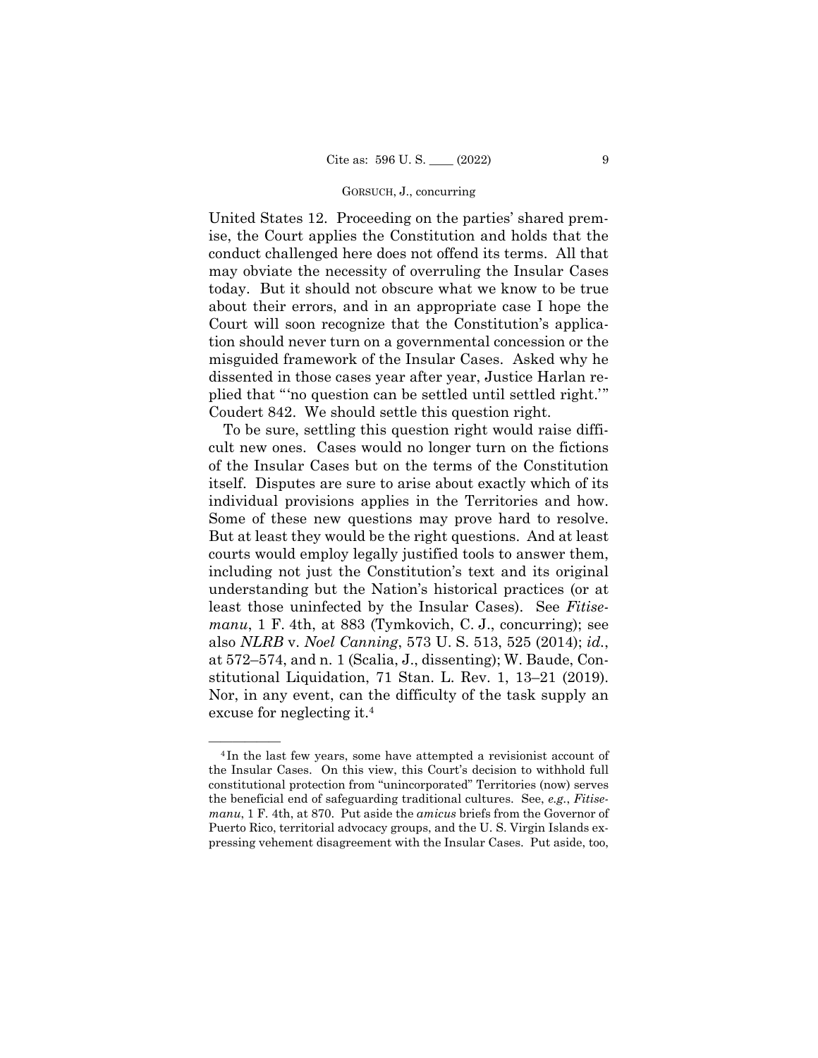United States 12. Proceeding on the parties' shared premise, the Court applies the Constitution and holds that the conduct challenged here does not offend its terms. All that may obviate the necessity of overruling the Insular Cases today. But it should not obscure what we know to be true about their errors, and in an appropriate case I hope the Court will soon recognize that the Constitution's application should never turn on a governmental concession or the misguided framework of the Insular Cases. Asked why he dissented in those cases year after year, Justice Harlan replied that "'no question can be settled until settled right.'" Coudert 842. We should settle this question right.

To be sure, settling this question right would raise difficult new ones. Cases would no longer turn on the fictions of the Insular Cases but on the terms of the Constitution itself. Disputes are sure to arise about exactly which of its individual provisions applies in the Territories and how. Some of these new questions may prove hard to resolve. But at least they would be the right questions. And at least courts would employ legally justified tools to answer them, including not just the Constitution's text and its original understanding but the Nation's historical practices (or at least those uninfected by the Insular Cases). See *Fitisemanu*, 1 F. 4th, at 883 (Tymkovich, C. J., concurring); see also *NLRB* v. *Noel Canning*, 573 U. S. 513, 525 (2014); *id.*, at 572–574, and n. 1 (Scalia, J., dissenting); W. Baude, Constitutional Liquidation, 71 Stan. L. Rev. 1, 13–21 (2019). Nor, in any event, can the difficulty of the task supply an excuse for neglecting it.4

<sup>&</sup>lt;sup>4</sup>In the last few years, some have attempted a revisionist account of the Insular Cases. On this view, this Court's decision to withhold full constitutional protection from "unincorporated" Territories (now) serves the beneficial end of safeguarding traditional cultures. See, *e.g.*, *Fitisemanu*, 1 F. 4th, at 870. Put aside the *amicus* briefs from the Governor of Puerto Rico, territorial advocacy groups, and the U. S. Virgin Islands expressing vehement disagreement with the Insular Cases. Put aside, too,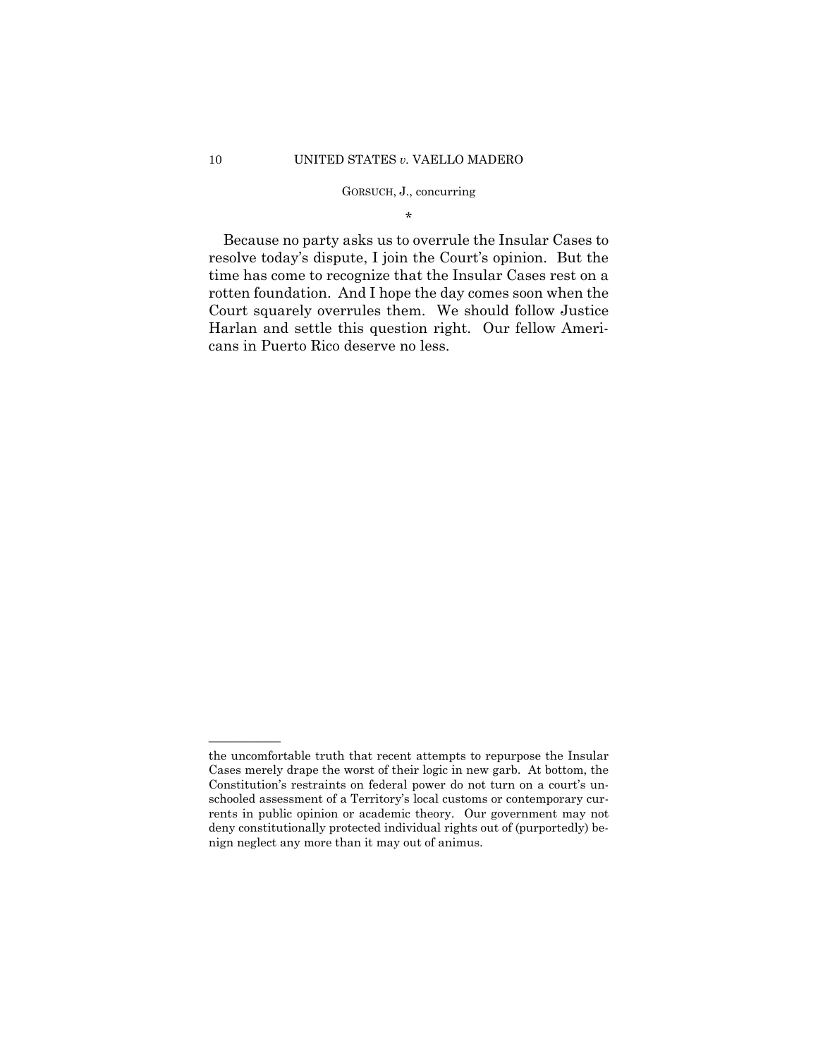\*

Because no party asks us to overrule the Insular Cases to resolve today's dispute, I join the Court's opinion. But the time has come to recognize that the Insular Cases rest on a rotten foundation. And I hope the day comes soon when the Court squarely overrules them. We should follow Justice Harlan and settle this question right. Our fellow Americans in Puerto Rico deserve no less.

——————

the uncomfortable truth that recent attempts to repurpose the Insular Cases merely drape the worst of their logic in new garb. At bottom, the Constitution's restraints on federal power do not turn on a court's unschooled assessment of a Territory's local customs or contemporary currents in public opinion or academic theory. Our government may not deny constitutionally protected individual rights out of (purportedly) benign neglect any more than it may out of animus.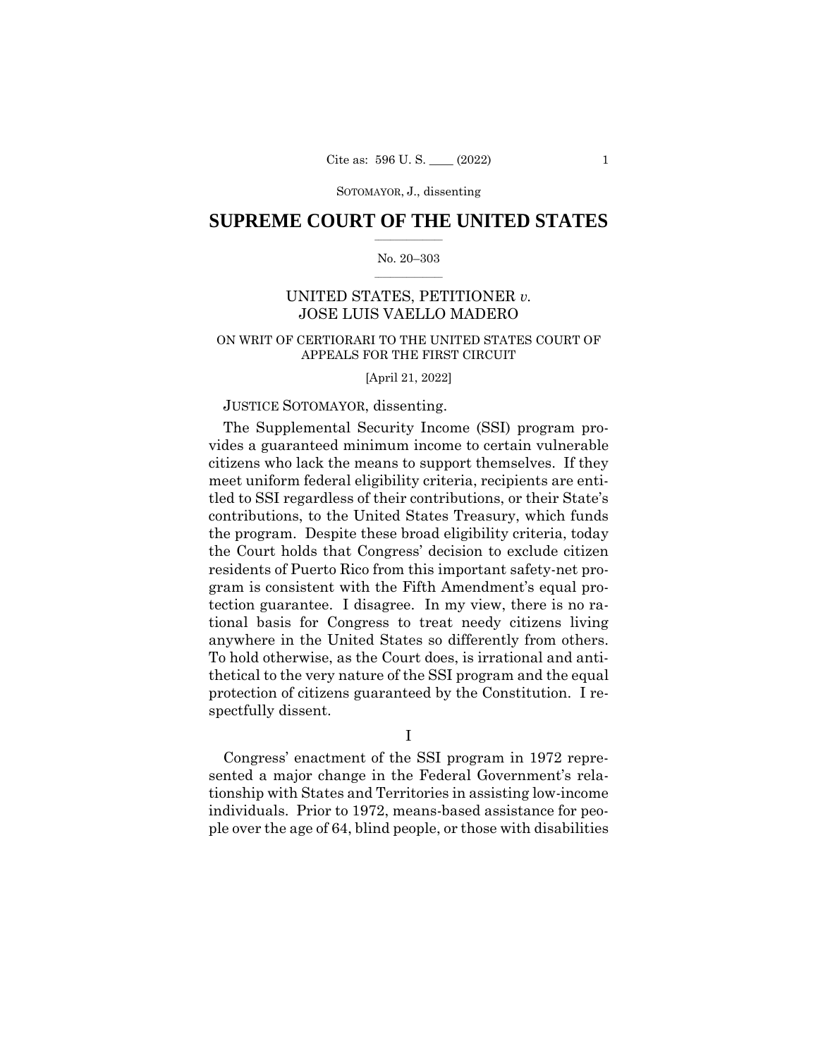# $\frac{1}{2}$  ,  $\frac{1}{2}$  ,  $\frac{1}{2}$  ,  $\frac{1}{2}$  ,  $\frac{1}{2}$  ,  $\frac{1}{2}$  ,  $\frac{1}{2}$ **SUPREME COURT OF THE UNITED STATES**

# $\frac{1}{2}$  ,  $\frac{1}{2}$  ,  $\frac{1}{2}$  ,  $\frac{1}{2}$  ,  $\frac{1}{2}$  ,  $\frac{1}{2}$ No. 20–303

# UNITED STATES, PETITIONER *v.*  JOSE LUIS VAELLO MADERO

# ON WRIT OF CERTIORARI TO THE UNITED STATES COURT OF APPEALS FOR THE FIRST CIRCUIT

[April 21, 2022]

# JUSTICE SOTOMAYOR, dissenting.

 anywhere in the United States so differently from others. The Supplemental Security Income (SSI) program provides a guaranteed minimum income to certain vulnerable citizens who lack the means to support themselves. If they meet uniform federal eligibility criteria, recipients are entitled to SSI regardless of their contributions, or their State's contributions, to the United States Treasury, which funds the program. Despite these broad eligibility criteria, today the Court holds that Congress' decision to exclude citizen residents of Puerto Rico from this important safety-net program is consistent with the Fifth Amendment's equal protection guarantee. I disagree. In my view, there is no rational basis for Congress to treat needy citizens living To hold otherwise, as the Court does, is irrational and antithetical to the very nature of the SSI program and the equal protection of citizens guaranteed by the Constitution. I respectfully dissent.

I

Congress' enactment of the SSI program in 1972 represented a major change in the Federal Government's relationship with States and Territories in assisting low-income individuals. Prior to 1972, means-based assistance for people over the age of 64, blind people, or those with disabilities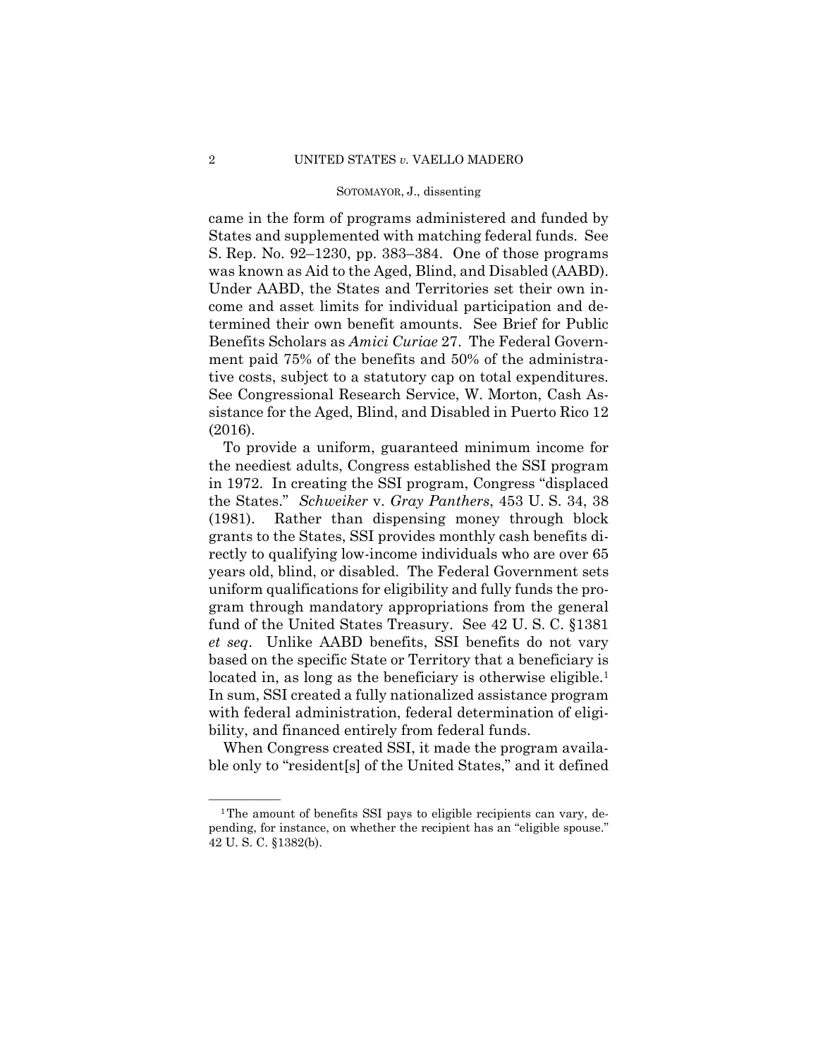came in the form of programs administered and funded by States and supplemented with matching federal funds. See S. Rep. No. 92–1230, pp. 383–384. One of those programs was known as Aid to the Aged, Blind, and Disabled (AABD). Under AABD, the States and Territories set their own income and asset limits for individual participation and determined their own benefit amounts. See Brief for Public Benefits Scholars as *Amici Curiae* 27. The Federal Government paid 75% of the benefits and 50% of the administrative costs, subject to a statutory cap on total expenditures. See Congressional Research Service, W. Morton, Cash Assistance for the Aged, Blind, and Disabled in Puerto Rico 12 (2016).

To provide a uniform, guaranteed minimum income for the neediest adults, Congress established the SSI program in 1972. In creating the SSI program, Congress "displaced the States." *Schweiker* v. *Gray Panthers*, 453 U. S. 34, 38 (1981). Rather than dispensing money through block grants to the States, SSI provides monthly cash benefits directly to qualifying low-income individuals who are over 65 years old, blind, or disabled. The Federal Government sets uniform qualifications for eligibility and fully funds the program through mandatory appropriations from the general fund of the United States Treasury. See 42 U. S. C. §1381 *et seq*. Unlike AABD benefits, SSI benefits do not vary based on the specific State or Territory that a beneficiary is located in, as long as the beneficiary is otherwise eligible.<sup>1</sup> In sum, SSI created a fully nationalized assistance program with federal administration, federal determination of eligibility, and financed entirely from federal funds.

When Congress created SSI, it made the program available only to "resident[s] of the United States," and it defined

 $1$ The amount of benefits SSI pays to eligible recipients can vary, depending, for instance, on whether the recipient has an "eligible spouse." 42 U. S. C. §1382(b).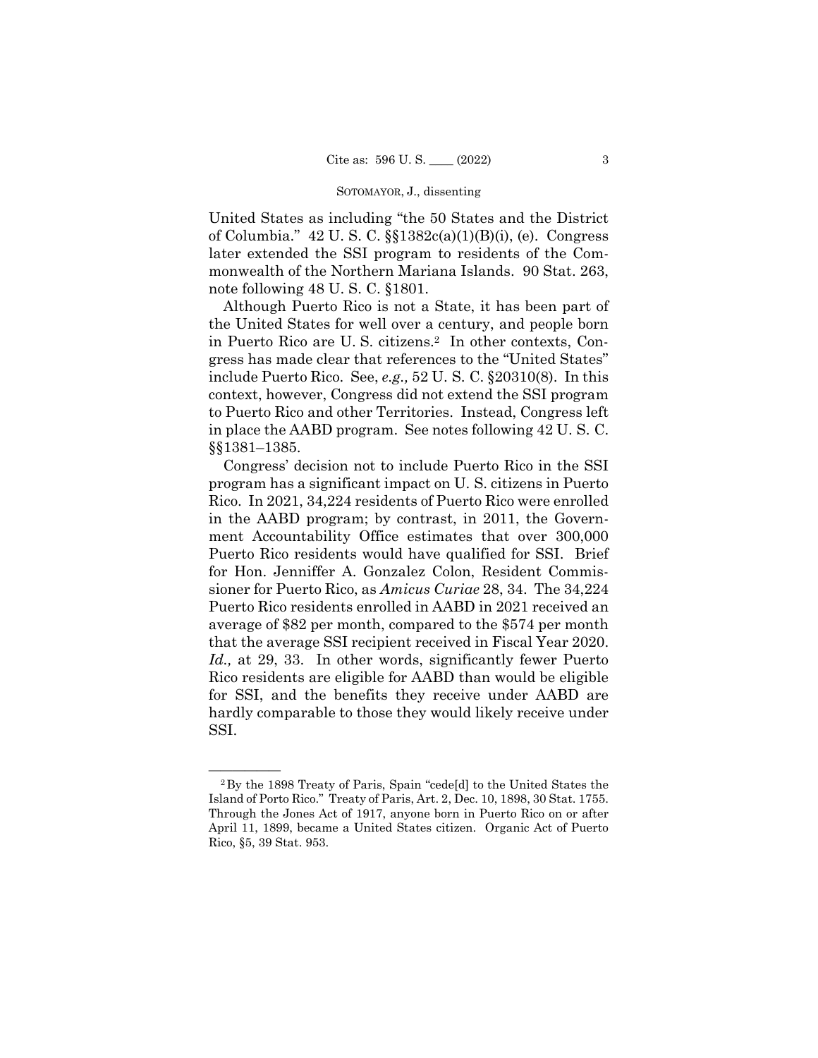United States as including "the 50 States and the District of Columbia." 42 U. S. C. §§1382c(a)(1)(B)(i), (e). Congress later extended the SSI program to residents of the Commonwealth of the Northern Mariana Islands. 90 Stat. 263, note following 48 U. S. C. §1801.

Although Puerto Rico is not a State, it has been part of the United States for well over a century, and people born in Puerto Rico are U. S. citizens.2 In other contexts, Congress has made clear that references to the "United States" include Puerto Rico. See, *e.g.,* 52 U. S. C. §20310(8). In this context, however, Congress did not extend the SSI program to Puerto Rico and other Territories. Instead, Congress left in place the AABD program. See notes following 42 U. S. C. §§1381–1385.

 that the average SSI recipient received in Fiscal Year 2020. Congress' decision not to include Puerto Rico in the SSI program has a significant impact on U. S. citizens in Puerto Rico. In 2021, 34,224 residents of Puerto Rico were enrolled in the AABD program; by contrast, in 2011, the Government Accountability Office estimates that over 300,000 Puerto Rico residents would have qualified for SSI. Brief for Hon. Jenniffer A. Gonzalez Colon, Resident Commissioner for Puerto Rico, as *Amicus Curiae* 28, 34. The 34,224 Puerto Rico residents enrolled in AABD in 2021 received an average of \$82 per month, compared to the \$574 per month *Id.,* at 29, 33. In other words, significantly fewer Puerto Rico residents are eligible for AABD than would be eligible for SSI, and the benefits they receive under AABD are hardly comparable to those they would likely receive under SSI.

 April 11, 1899, became a United States citizen. Organic Act of Puerto <sup>2</sup>By the 1898 Treaty of Paris, Spain "cede[d] to the United States the Island of Porto Rico." Treaty of Paris, Art. 2, Dec. 10, 1898, 30 Stat. 1755. Through the Jones Act of 1917, anyone born in Puerto Rico on or after Rico, §5, 39 Stat. 953.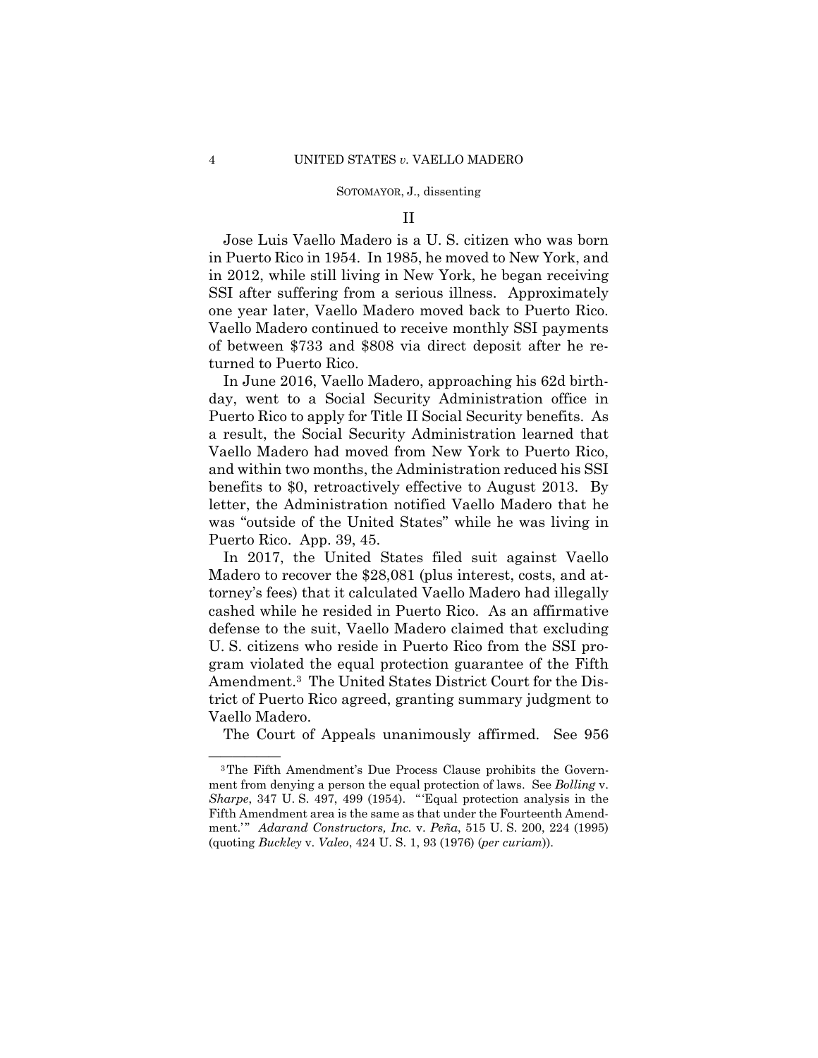# II

Jose Luis Vaello Madero is a U. S. citizen who was born in Puerto Rico in 1954. In 1985, he moved to New York, and in 2012, while still living in New York, he began receiving SSI after suffering from a serious illness. Approximately one year later, Vaello Madero moved back to Puerto Rico. Vaello Madero continued to receive monthly SSI payments of between \$733 and \$808 via direct deposit after he returned to Puerto Rico.

In June 2016, Vaello Madero, approaching his 62d birthday, went to a Social Security Administration office in Puerto Rico to apply for Title II Social Security benefits. As a result, the Social Security Administration learned that Vaello Madero had moved from New York to Puerto Rico, and within two months, the Administration reduced his SSI benefits to \$0, retroactively effective to August 2013. By letter, the Administration notified Vaello Madero that he was "outside of the United States" while he was living in Puerto Rico. App. 39, 45.

In 2017, the United States filed suit against Vaello Madero to recover the \$28,081 (plus interest, costs, and attorney's fees) that it calculated Vaello Madero had illegally cashed while he resided in Puerto Rico. As an affirmative defense to the suit, Vaello Madero claimed that excluding U. S. citizens who reside in Puerto Rico from the SSI program violated the equal protection guarantee of the Fifth Amendment.3 The United States District Court for the District of Puerto Rico agreed, granting summary judgment to Vaello Madero.

The Court of Appeals unanimously affirmed. See 956

<sup>&</sup>lt;sup>3</sup>The Fifth Amendment's Due Process Clause prohibits the Government from denying a person the equal protection of laws. See *Bolling* v. *Sharpe*, 347 U. S. 497, 499 (1954). "'Equal protection analysis in the Fifth Amendment area is the same as that under the Fourteenth Amendment.'" *Adarand Constructors, Inc.* v. *Peña*, 515 U. S. 200, 224 (1995) (quoting *Buckley* v. *Valeo*, 424 U. S. 1, 93 (1976) (*per curiam*)).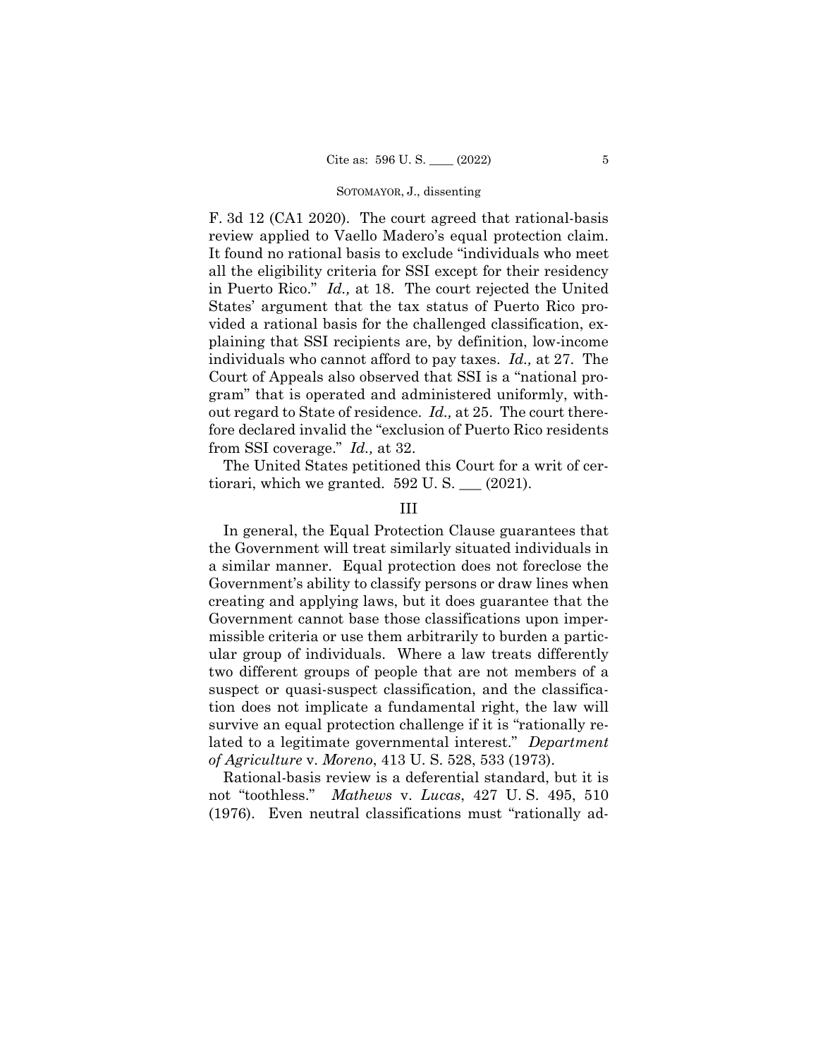in Puerto Rico." *Id.,* at 18. The court rejected the United F. 3d 12 (CA1 2020). The court agreed that rational-basis review applied to Vaello Madero's equal protection claim. It found no rational basis to exclude "individuals who meet all the eligibility criteria for SSI except for their residency States' argument that the tax status of Puerto Rico provided a rational basis for the challenged classification, explaining that SSI recipients are, by definition, low-income individuals who cannot afford to pay taxes. *Id.,* at 27. The Court of Appeals also observed that SSI is a "national program" that is operated and administered uniformly, without regard to State of residence. *Id.,* at 25. The court therefore declared invalid the "exclusion of Puerto Rico residents from SSI coverage." *Id.,* at 32.

The United States petitioned this Court for a writ of certiorari, which we granted.  $592$  U. S.  $\_\_$  (2021).

# III

In general, the Equal Protection Clause guarantees that the Government will treat similarly situated individuals in a similar manner. Equal protection does not foreclose the Government's ability to classify persons or draw lines when creating and applying laws, but it does guarantee that the Government cannot base those classifications upon impermissible criteria or use them arbitrarily to burden a particular group of individuals. Where a law treats differently two different groups of people that are not members of a suspect or quasi-suspect classification, and the classification does not implicate a fundamental right, the law will survive an equal protection challenge if it is "rationally related to a legitimate governmental interest." *Department of Agriculture* v. *Moreno*, 413 U. S. 528, 533 (1973).

Rational-basis review is a deferential standard, but it is not "toothless." *Mathews* v. *Lucas*, 427 U. S. 495, 510 (1976). Even neutral classifications must "rationally ad-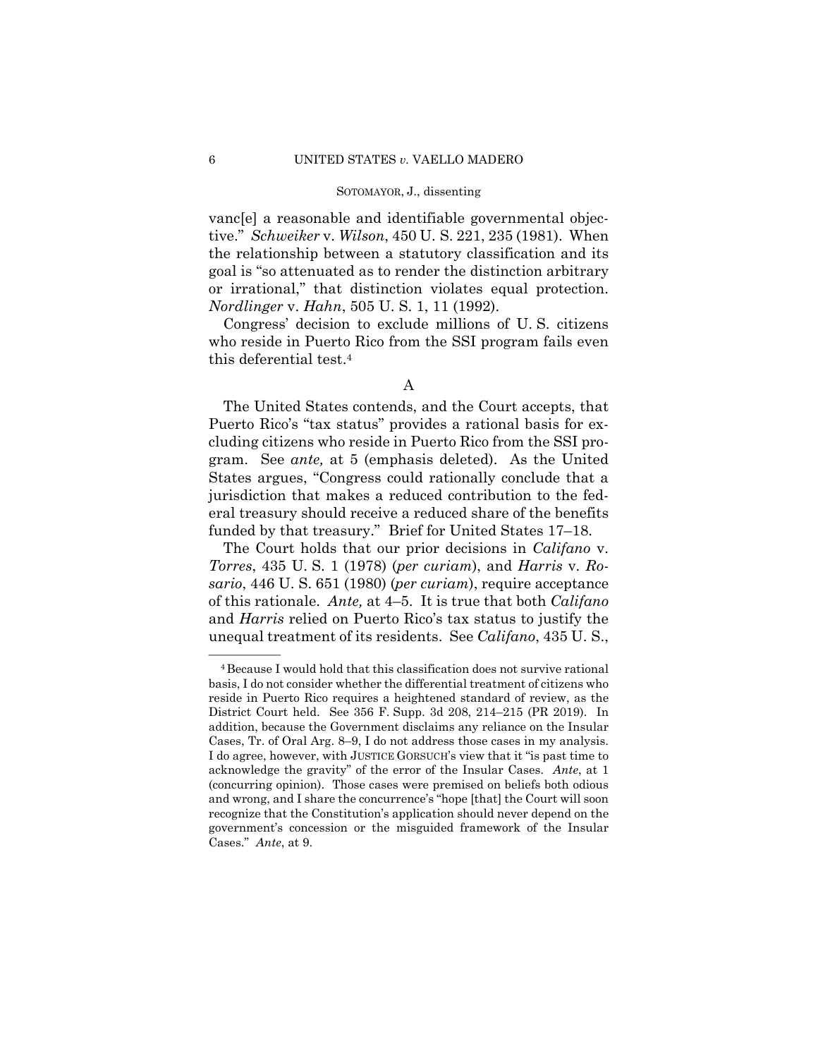vanc[e] a reasonable and identifiable governmental objective." *Schweiker* v. *Wilson*, 450 U. S. 221, 235 (1981). When the relationship between a statutory classification and its goal is "so attenuated as to render the distinction arbitrary or irrational," that distinction violates equal protection. *Nordlinger* v. *Hahn*, 505 U. S. 1, 11 (1992).

Congress' decision to exclude millions of U. S. citizens who reside in Puerto Rico from the SSI program fails even this deferential test.4

The United States contends, and the Court accepts, that Puerto Rico's "tax status" provides a rational basis for excluding citizens who reside in Puerto Rico from the SSI program. See *ante,* at 5 (emphasis deleted). As the United States argues, "Congress could rationally conclude that a jurisdiction that makes a reduced contribution to the federal treasury should receive a reduced share of the benefits funded by that treasury." Brief for United States 17–18.

The Court holds that our prior decisions in *Califano* v. *Torres*, 435 U. S. 1 (1978) (*per curiam*), and *Harris* v. *Rosario*, 446 U. S. 651 (1980) (*per curiam*), require acceptance of this rationale. *Ante,* at 4–5. It is true that both *Califano*  and *Harris* relied on Puerto Rico's tax status to justify the unequal treatment of its residents. See *Califano*, 435 U. S.,

A

 acknowledge the gravity" of the error of the Insular Cases. *Ante*, at 1 <sup>4</sup> Because I would hold that this classification does not survive rational basis, I do not consider whether the differential treatment of citizens who reside in Puerto Rico requires a heightened standard of review, as the District Court held. See 356 F. Supp. 3d 208, 214–215 (PR 2019). In addition, because the Government disclaims any reliance on the Insular Cases, Tr. of Oral Arg. 8–9, I do not address those cases in my analysis. I do agree, however, with JUSTICE GORSUCH's view that it "is past time to (concurring opinion). Those cases were premised on beliefs both odious and wrong, and I share the concurrence's "hope [that] the Court will soon recognize that the Constitution's application should never depend on the government's concession or the misguided framework of the Insular Cases." *Ante*, at 9.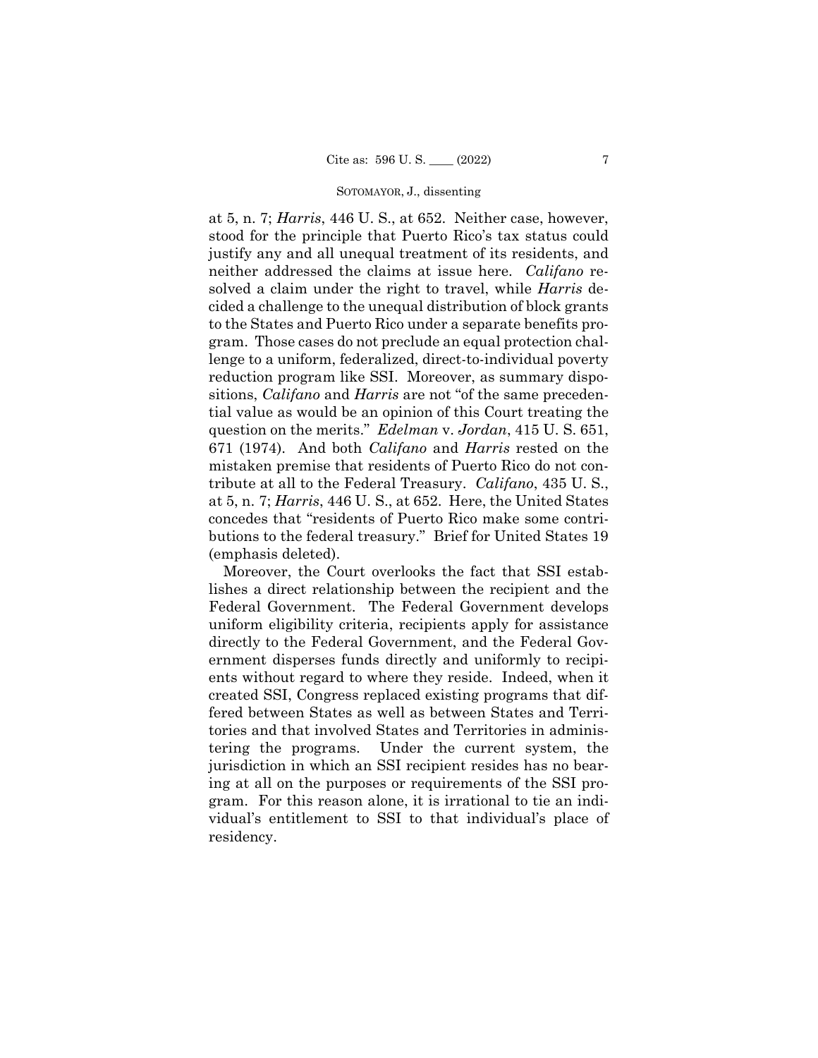at 5, n. 7; *Harris*, 446 U. S., at 652. Neither case, however, stood for the principle that Puerto Rico's tax status could justify any and all unequal treatment of its residents, and neither addressed the claims at issue here. *Califano* resolved a claim under the right to travel, while *Harris* decided a challenge to the unequal distribution of block grants to the States and Puerto Rico under a separate benefits program. Those cases do not preclude an equal protection challenge to a uniform, federalized, direct-to-individual poverty reduction program like SSI. Moreover, as summary dispositions, *Califano* and *Harris* are not "of the same precedential value as would be an opinion of this Court treating the question on the merits." *Edelman* v. *Jordan*, 415 U. S. 651, 671 (1974). And both *Califano* and *Harris* rested on the mistaken premise that residents of Puerto Rico do not contribute at all to the Federal Treasury. *Califano*, 435 U. S., at 5, n. 7; *Harris*, 446 U. S., at 652. Here, the United States concedes that "residents of Puerto Rico make some contributions to the federal treasury." Brief for United States 19 (emphasis deleted).

Moreover, the Court overlooks the fact that SSI establishes a direct relationship between the recipient and the Federal Government. The Federal Government develops uniform eligibility criteria, recipients apply for assistance directly to the Federal Government, and the Federal Government disperses funds directly and uniformly to recipients without regard to where they reside. Indeed, when it created SSI, Congress replaced existing programs that differed between States as well as between States and Territories and that involved States and Territories in administering the programs. Under the current system, the jurisdiction in which an SSI recipient resides has no bearing at all on the purposes or requirements of the SSI program. For this reason alone, it is irrational to tie an individual's entitlement to SSI to that individual's place of residency.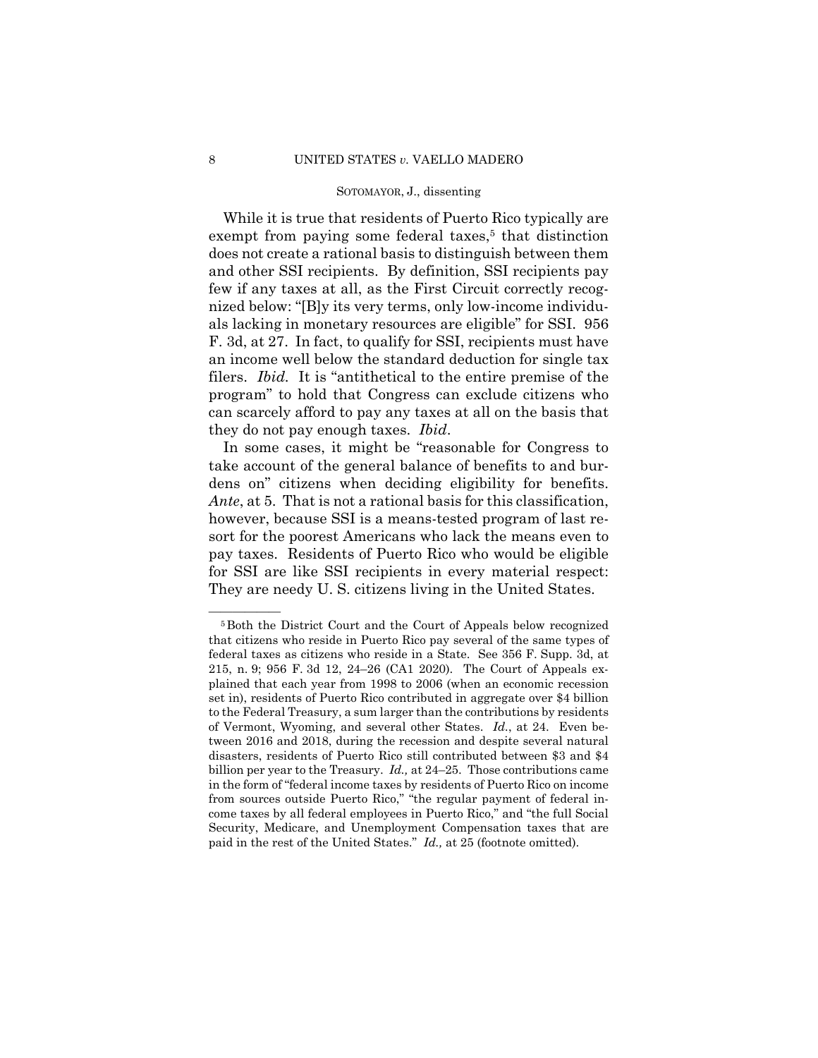While it is true that residents of Puerto Rico typically are exempt from paying some federal taxes, $5$  that distinction does not create a rational basis to distinguish between them and other SSI recipients. By definition, SSI recipients pay few if any taxes at all, as the First Circuit correctly recognized below: "[B]y its very terms, only low-income individuals lacking in monetary resources are eligible" for SSI. 956 F. 3d, at 27. In fact, to qualify for SSI, recipients must have an income well below the standard deduction for single tax filers. *Ibid.* It is "antithetical to the entire premise of the program" to hold that Congress can exclude citizens who can scarcely afford to pay any taxes at all on the basis that they do not pay enough taxes. *Ibid*.

In some cases, it might be "reasonable for Congress to take account of the general balance of benefits to and burdens on" citizens when deciding eligibility for benefits. *Ante*, at 5. That is not a rational basis for this classification, however, because SSI is a means-tested program of last resort for the poorest Americans who lack the means even to pay taxes. Residents of Puerto Rico who would be eligible for SSI are like SSI recipients in every material respect: They are needy U. S. citizens living in the United States.

<sup>&</sup>lt;sup>5</sup>Both the District Court and the Court of Appeals below recognized that citizens who reside in Puerto Rico pay several of the same types of federal taxes as citizens who reside in a State. See 356 F. Supp. 3d, at 215, n. 9; 956 F. 3d 12, 24–26 (CA1 2020). The Court of Appeals explained that each year from 1998 to 2006 (when an economic recession set in), residents of Puerto Rico contributed in aggregate over \$4 billion to the Federal Treasury, a sum larger than the contributions by residents of Vermont, Wyoming, and several other States. *Id.*, at 24. Even between 2016 and 2018, during the recession and despite several natural disasters, residents of Puerto Rico still contributed between \$3 and \$4 billion per year to the Treasury. *Id.,* at 24–25. Those contributions came in the form of "federal income taxes by residents of Puerto Rico on income from sources outside Puerto Rico," "the regular payment of federal income taxes by all federal employees in Puerto Rico," and "the full Social Security, Medicare, and Unemployment Compensation taxes that are paid in the rest of the United States." *Id.,* at 25 (footnote omitted).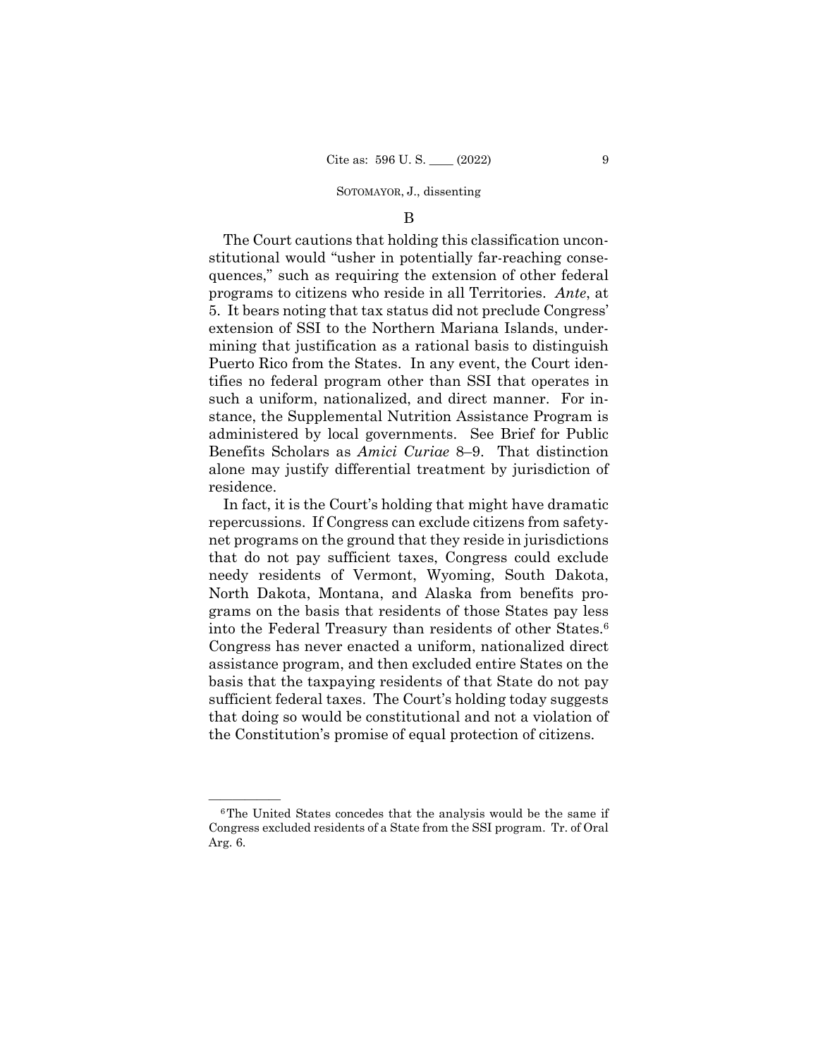# B

The Court cautions that holding this classification unconstitutional would "usher in potentially far-reaching consequences," such as requiring the extension of other federal programs to citizens who reside in all Territories. *Ante*, at 5. It bears noting that tax status did not preclude Congress' extension of SSI to the Northern Mariana Islands, undermining that justification as a rational basis to distinguish Puerto Rico from the States. In any event, the Court identifies no federal program other than SSI that operates in such a uniform, nationalized, and direct manner. For instance, the Supplemental Nutrition Assistance Program is administered by local governments. See Brief for Public Benefits Scholars as *Amici Curiae* 8–9. That distinction alone may justify differential treatment by jurisdiction of residence.

 into the Federal Treasury than residents of other States.6 In fact, it is the Court's holding that might have dramatic repercussions. If Congress can exclude citizens from safetynet programs on the ground that they reside in jurisdictions that do not pay sufficient taxes, Congress could exclude needy residents of Vermont, Wyoming, South Dakota, North Dakota, Montana, and Alaska from benefits programs on the basis that residents of those States pay less Congress has never enacted a uniform, nationalized direct assistance program, and then excluded entire States on the basis that the taxpaying residents of that State do not pay sufficient federal taxes. The Court's holding today suggests that doing so would be constitutional and not a violation of the Constitution's promise of equal protection of citizens.

 $6$ The United States concedes that the analysis would be the same if Congress excluded residents of a State from the SSI program. Tr. of Oral Arg. 6.